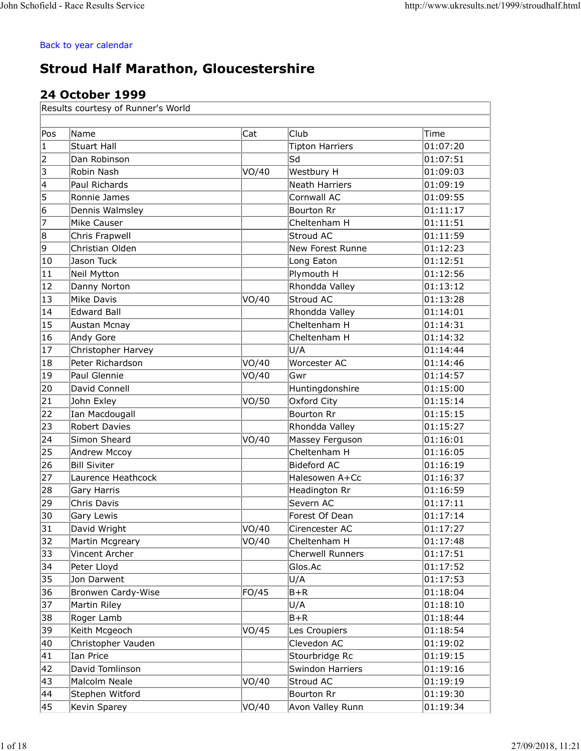## Stroud Half Marathon, Gloucestershire John Schofield - Race Results Service<br>
Back to year calendar<br> **Stroud Half Marathon** Clougestorshipe

## 24 October 1999

|                                    | Back to year calendar                                                  |                |                                |                       |
|------------------------------------|------------------------------------------------------------------------|----------------|--------------------------------|-----------------------|
|                                    | <b>Stroud Half Marathon, Gloucestershire</b><br><b>24 October 1999</b> |                |                                |                       |
|                                    | Results courtesy of Runner's World                                     |                |                                |                       |
|                                    |                                                                        |                |                                |                       |
| Pos                                | Name                                                                   | Cat            | Club                           | Time                  |
| 1                                  | Stuart Hall                                                            |                | <b>Tipton Harriers</b>         | 01:07:20              |
| $\vert$ 2<br>$\overline{3}$        | Dan Robinson                                                           |                | Sd                             | 01:07:51              |
| 4                                  | Robin Nash<br>Paul Richards                                            | VO/40          | Westbury H<br>Neath Harriers   | 01:09:03<br> 01:09:19 |
| $\overline{5}$                     | Ronnie James                                                           |                | Cornwall AC                    | 01:09:55              |
| 6                                  | Dennis Walmsley                                                        |                | <b>Bourton Rr</b>              | 01:11:17              |
| $\overline{7}$                     | Mike Causer                                                            |                | Cheltenham H                   | 01:11:51              |
| 8                                  | Chris Frapwell                                                         |                | Stroud AC                      | 01:11:59              |
| $\overline{9}$                     | Christian Olden                                                        |                | New Forest Runne               | 01:12:23              |
| 10                                 | Jason Tuck                                                             |                | Long Eaton                     | 01:12:51              |
| $ 11\rangle$                       | Neil Mytton                                                            |                | Plymouth H                     | 01:12:56              |
| $ 12\rangle$                       | Danny Norton                                                           |                | Rhondda Valley                 | 01:13:12              |
| 13                                 | <b>Mike Davis</b>                                                      | VO/40          | Stroud AC                      | 01:13:28              |
| 14                                 | Edward Ball                                                            |                | Rhondda Valley                 | 01:14:01              |
| $\overline{15}$                    | Austan Mcnay                                                           |                | Cheltenham H                   | 01:14:31              |
| $\overline{16}$                    | Andy Gore                                                              |                | Cheltenham H                   | 01:14:32              |
| $ 17\rangle$<br>18                 | Christopher Harvey<br>Peter Richardson                                 | VO/40          | U/A<br>Worcester AC            | 01:14:44<br>01:14:46  |
| 19                                 | Paul Glennie                                                           | VO/40          | Gwr                            | 01:14:57              |
| $\overline{20}$                    | David Connell                                                          |                | Huntingdonshire                | 01:15:00              |
| $\overline{21}$                    | John Exley                                                             | VO/50          | Oxford City                    | 01:15:14              |
| $\overline{22}$                    | Ian Macdougall                                                         |                | <b>Bourton Rr</b>              | 01:15:15              |
| 23                                 | Robert Davies                                                          |                | Rhondda Valley                 | 01:15:27              |
| $\sqrt{24}$                        | Simon Sheard                                                           | VO/40          | Massey Ferguson                | 01:16:01              |
| 25                                 | Andrew Mccoy                                                           |                | Cheltenham H                   | 01:16:05              |
| 26                                 | <b>Bill Siviter</b>                                                    |                | <b>Bideford AC</b>             | 01:16:19              |
| 27                                 | Laurence Heathcock                                                     |                | Halesowen A+Cc                 | 01:16:37              |
| $\overline{28}$                    | Gary Harris                                                            |                | Headington Rr                  | 01:16:59              |
| 29                                 | Chris Davis                                                            |                | Severn AC                      | 01:17:11              |
| 30                                 | Gary Lewis                                                             |                | Forest Of Dean                 | 01:17:14              |
| $\overline{31}$<br>$\overline{32}$ | David Wright<br>Martin Mcgreary                                        | VO/40<br>VO/40 | Cirencester AC<br>Cheltenham H | 01:17:27<br>01:17:48  |
| $\overline{33}$                    | Vincent Archer                                                         |                | <b>Cherwell Runners</b>        | 01:17:51              |
| $\overline{34}$                    | Peter Lloyd                                                            |                | Glos.Ac                        | 01:17:52              |
| 35                                 | Jon Darwent                                                            |                | U/A                            | 01:17:53              |
| $\overline{36}$                    | Bronwen Cardy-Wise                                                     | FO/45          | $B+R$                          | 01:18:04              |
| $\overline{37}$                    | Martin Riley                                                           |                | U/A                            | 01:18:10              |
| $\overline{38}$                    | Roger Lamb                                                             |                | $B+R$                          | 01:18:44              |
| $\overline{39}$                    | Keith Mcgeoch                                                          | VO/45          | Les Croupiers                  | 01:18:54              |
| $\overline{40}$                    | Christopher Vauden                                                     |                | Clevedon AC                    | 01:19:02              |
| $\overline{41}$                    | Ian Price                                                              |                | Stourbridge Rc                 | 01:19:15              |
| $\sqrt{42}$                        | David Tomlinson                                                        |                | Swindon Harriers               | 01:19:16              |
| $\sqrt{43}$                        | Malcolm Neale                                                          | VO/40          | Stroud AC                      | 01:19:19              |
| 44                                 | Stephen Witford                                                        |                | Bourton Rr                     | 01:19:30              |
| $\overline{45}$                    | Kevin Sparey                                                           | VO/40          | Avon Valley Runn               | 01:19:34              |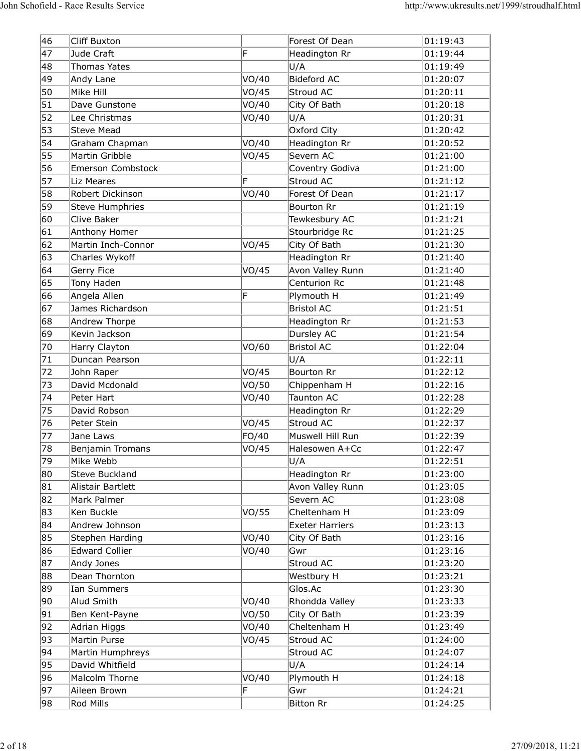|          | John Schofield - Race Results Service |                |                                   | http://www.ukresults.net/1999/stroudhalf.html |
|----------|---------------------------------------|----------------|-----------------------------------|-----------------------------------------------|
|          |                                       |                |                                   |                                               |
| 46       | Cliff Buxton                          |                | Forest Of Dean                    | 01:19:43                                      |
| 47       | Jude Craft                            | Е              | Headington Rr                     | 01:19:44                                      |
| 48       | Thomas Yates                          |                | U/A                               | 01:19:49                                      |
| 49<br>50 | Andy Lane<br>Mike Hill                | VO/40<br>VO/45 | <b>Bideford AC</b><br>Stroud AC   | 01:20:07<br> 01:20:11                         |
| 51       | Dave Gunstone                         | VO/40          | City Of Bath                      | 01:20:18                                      |
| 52       | Lee Christmas                         | VO/40          | U/A                               | 01:20:31                                      |
| 53       | Steve Mead                            |                | Oxford City                       | 01:20:42                                      |
| 54<br>55 | Graham Chapman<br>Martin Gribble      | VO/40<br>VO/45 | Headington Rr<br>Severn AC        | 01:20:52<br> 01:21:00                         |
| 56       | Emerson Combstock                     |                | Coventry Godiva                   | 01:21:00                                      |
| 57       | Liz Meares                            | ΙF             | Stroud AC                         | 01:21:12                                      |
| 58       | Robert Dickinson                      | VO/40          | Forest Of Dean                    | 01:21:17                                      |
| 59<br>60 | Steve Humphries<br>Clive Baker        |                | Bourton Rr<br>Tewkesbury AC       | 01:21:19<br> 01:21:21                         |
| 61       | Anthony Homer                         |                | Stourbridge Rc                    | 01:21:25                                      |
| 62       | Martin Inch-Connor                    | VO/45          | City Of Bath                      | 01:21:30                                      |
| 63       | Charles Wykoff                        |                | Headington Rr                     | 01:21:40                                      |
| 64<br>65 | Gerry Fice                            | VO/45          | Avon Valley Runn<br>Centurion Rc  | 01:21:40                                      |
| 66       | Tony Haden<br>Angela Allen            |                | Plymouth H                        | 01:21:48<br>01:21:49                          |
| 67       | James Richardson                      |                | Bristol AC                        | 01:21:51                                      |
| 68       | Andrew Thorpe                         |                | Headington Rr                     | 01:21:53                                      |
| 69       | Kevin Jackson                         |                | Dursley AC                        | 01:21:54                                      |
| 70<br>71 | Harry Clayton<br>Duncan Pearson       | VO/60          | <b>Bristol AC</b><br>U/A          | 01:22:04<br> 01:22:11                         |
| 72       | John Raper                            | VO/45          | Bourton Rr                        | 01:22:12                                      |
| 73       | David Mcdonald                        | VO/50          | Chippenham H                      | 01:22:16                                      |
| 74       | Peter Hart                            | VO/40          | Taunton AC                        | 01:22:28                                      |
| 75<br>76 | David Robson<br>Peter Stein           | VO/45          | Headington Rr<br>Stroud AC        | 01:22:29<br>01:22:37                          |
| 77       | Jane Laws                             | FO/40          | Muswell Hill Run                  | 01:22:39                                      |
| 78       | Benjamin Tromans                      | VO/45          | Halesowen A+Cc                    | 01:22:47                                      |
| 79       | Mike Webb                             |                | U/A                               | 01:22:51                                      |
| 80<br>81 | Steve Buckland<br>Alistair Bartlett   |                | Headington Rr<br>Avon Valley Runn | 01:23:00 <br> 01:23:05                        |
| 82       | Mark Palmer                           |                | Severn AC                         | 01:23:08                                      |
| 83       | Ken Buckle                            | VO/55          | Cheltenham H                      | 01:23:09                                      |
| 84       | Andrew Johnson                        |                | <b>Exeter Harriers</b>            | 01:23:13                                      |
| 85<br>86 | Stephen Harding<br>Edward Collier     | VO/40<br>VO/40 | City Of Bath<br>Gwr               | 01:23:16<br> 01:23:16                         |
| 87       | Andy Jones                            |                | Stroud AC                         | 01:23:20                                      |
| 88       | Dean Thornton                         |                | Westbury H                        | 01:23:21                                      |
| 89       | Ian Summers                           |                | Glos.Ac                           | 01:23:30                                      |
| 90       | Alud Smith                            | VO/40          | Rhondda Valley                    | 01:23:33                                      |
| 91<br>92 | Ben Kent-Payne<br>Adrian Higgs        | VO/50<br>VO/40 | City Of Bath<br>Cheltenham H      | $\sqrt{01:23:39}$<br>01:23:49                 |
| 93       | Martin Purse                          | VO/45          | Stroud AC                         | 01:24:00                                      |
| 94       | Martin Humphreys                      |                | Stroud AC                         | 01:24:07                                      |
| 95       | David Whitfield                       |                | U/A                               | 01:24:14                                      |
| 96<br>97 | Malcolm Thorne<br>Aileen Brown        | VO/40          | Plymouth H<br>Gwr                 | 01:24:18<br> 01:24:21                         |
| 98       | Rod Mills                             |                |                                   |                                               |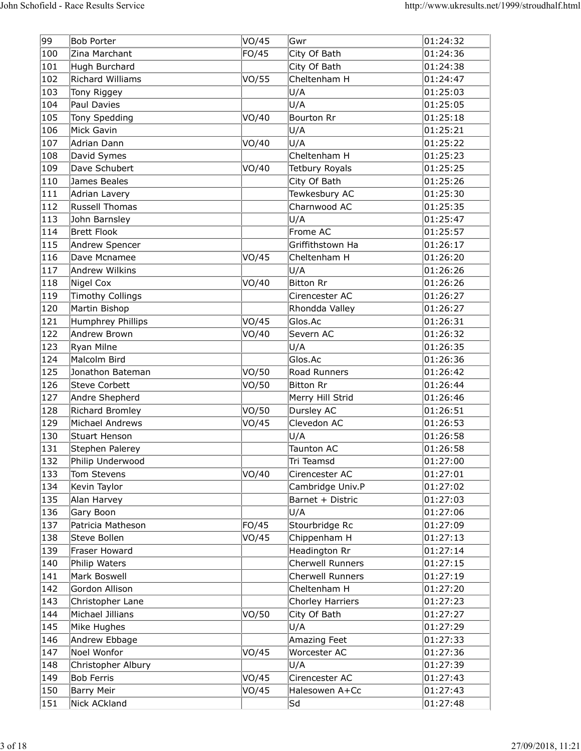| 99                   | <b>Bob Porter</b>                 | VO/45 | Gwr                                | 01:24:32              |
|----------------------|-----------------------------------|-------|------------------------------------|-----------------------|
| 100<br> 101          | Zina Marchant<br>Hugh Burchard    | FO/45 | City Of Bath<br>City Of Bath       | 01:24:36<br>01:24:38  |
| 102                  | Richard Williams                  | VO/55 | Cheltenham H                       | 01:24:47              |
| 103                  | Tony Riggey                       |       | U/A                                | 01:25:03              |
| 104                  | Paul Davies                       |       | U/A                                | 01:25:05              |
| 105<br>106           | Tony Spedding<br>Mick Gavin       | VO/40 | Bourton Rr<br>U/A                  | 01:25:18<br> 01:25:21 |
| 107                  | Adrian Dann                       | VO/40 | U/A                                | 01:25:22              |
| 108                  | David Symes                       |       | Cheltenham H                       | 01:25:23              |
| 109                  | Dave Schubert                     | VO/40 | <b>Tetbury Royals</b>              | 01:25:25              |
| 110                  | James Beales                      |       | City Of Bath                       | 01:25:26              |
| $ 111\rangle$<br>112 | Adrian Lavery<br>Russell Thomas   |       | Tewkesbury AC<br>Charnwood AC      | 01:25:30<br> 01:25:35 |
| $ 113\rangle$        | John Barnsley                     |       | U/A                                | 01:25:47              |
| 114                  | Brett Flook                       |       | Frome AC                           | 01:25:57              |
| 115                  | Andrew Spencer                    |       | Griffithstown Ha                   | 01:26:17              |
| 116<br> 117          | Dave Mcnamee<br>Andrew Wilkins    | VO/45 | Cheltenham H<br>U/A                | 01:26:20<br>01:26:26  |
| 118                  | Nigel Cox                         | VO/40 | <b>Bitton Rr</b>                   | 01:26:26              |
| $ 119\rangle$        | Timothy Collings                  |       | Cirencester AC                     | 01:26:27              |
| 120                  | Martin Bishop                     |       | Rhondda Valley                     | 01:26:27              |
| 121                  | Humphrey Phillips                 | VO/45 | Glos.Ac                            | 01:26:31              |
| 122<br>123           | Andrew Brown<br>Ryan Milne        | VO/40 | Severn AC<br>U/A                   | 01:26:32<br> 01:26:35 |
| 124                  | Malcolm Bird                      |       | Glos.Ac                            | 01:26:36              |
| 125                  | Jonathon Bateman                  | VO/50 | Road Runners                       | 01:26:42              |
| 126                  | Steve Corbett                     | VO/50 | <b>Bitton Rr</b>                   | 01:26:44              |
| 127<br>128           | Andre Shepherd<br>Richard Bromley | VO/50 | Merry Hill Strid<br>Dursley AC     | 01:26:46<br> 01:26:51 |
| 129                  | Michael Andrews                   | VO/45 | Clevedon AC                        | 01:26:53              |
| 130                  | Stuart Henson                     |       | U/A                                | 01:26:58              |
| 131                  | Stephen Palerey                   |       | Taunton AC                         | 01:26:58              |
| 132                  | Philip Underwood                  |       | Tri Teamsd                         | 01:27:00              |
| 133<br>134           | Tom Stevens<br>Kevin Taylor       | VO/40 | Cirencester AC<br>Cambridge Univ.P | 01:27:01<br>01:27:02  |
| 135                  | Alan Harvey                       |       | Barnet + Distric                   | 01:27:03              |
| 136                  | Gary Boon                         |       | U/A                                | 01:27:06              |
| 137                  | Patricia Matheson                 | FO/45 | Stourbridge Rc                     | 01:27:09              |
| 138                  | Steve Bollen                      | VO/45 | Chippenham H                       | 01:27:13              |
| 139<br>140           | Fraser Howard<br>Philip Waters    |       | Headington Rr<br>Cherwell Runners  | 01:27:14<br> 01:27:15 |
| 141                  | Mark Boswell                      |       | Cherwell Runners                   | 01:27:19              |
| 142                  | Gordon Allison                    |       | Cheltenham H                       | 01:27:20              |
| 143                  | Christopher Lane                  |       | Chorley Harriers                   | 01:27:23              |
| $ 144\rangle$        | Michael Jillians                  | VO/50 | City Of Bath                       | 01:27:27              |
| 145                  | Mike Hughes                       |       | U/A                                | 01:27:29              |
| 146<br>$ 147\rangle$ | Andrew Ebbage<br>Noel Wonfor      | VO/45 | Amazing Feet<br>Worcester AC       | 01:27:33<br>01:27:36  |
| 148                  | Christopher Albury                |       | U/A                                | 01:27:39              |
| 149                  | <b>Bob Ferris</b>                 | VO/45 | Cirencester AC                     | 01:27:43              |
| 150                  | Barry Meir                        | VO/45 | Halesowen A+Cc                     | 01:27:43              |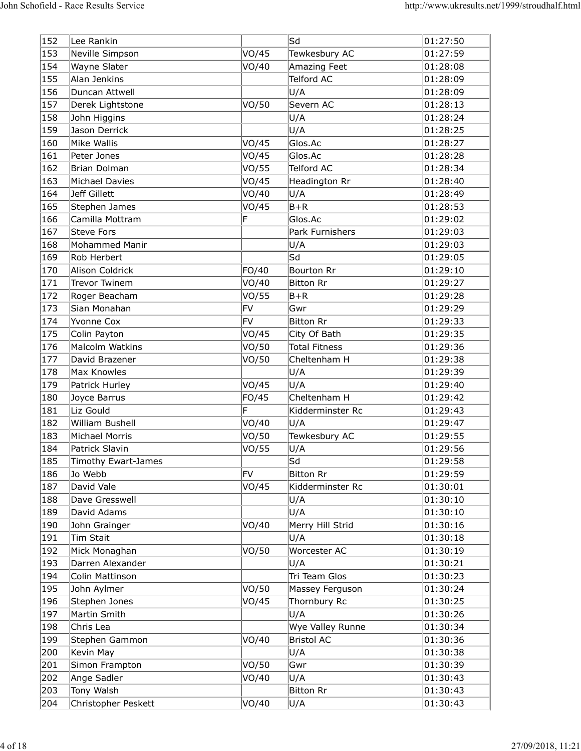|                      | John Schofield - Race Results Service |                |                                      | http://www.ukresults.net/1999/stroudhalf.html |
|----------------------|---------------------------------------|----------------|--------------------------------------|-----------------------------------------------|
|                      |                                       |                |                                      |                                               |
|                      |                                       |                |                                      |                                               |
| 152                  | Lee Rankin                            |                | Sd                                   | 01:27:50                                      |
| 153                  | Neville Simpson                       | VO/45          | Tewkesbury AC                        | 01:27:59                                      |
| 154<br>$ 155\rangle$ | Wayne Slater<br>Alan Jenkins          | VO/40          | Amazing Feet<br><b>Telford AC</b>    | 01:28:08<br> 01:28:09                         |
| 156                  | Duncan Attwell                        |                | U/A                                  | 01:28:09                                      |
| 157                  | Derek Lightstone                      | VO/50          | Severn AC                            | 01:28:13                                      |
| 158                  | John Higgins                          |                | U/A                                  | 01:28:24                                      |
| 159<br>160           | Jason Derrick<br>Mike Wallis          | VO/45          | U/A<br>Glos.Ac                       | 01:28:25<br>01:28:27                          |
| 161                  | Peter Jones                           | VO/45          | Glos.Ac                              | 01:28:28                                      |
| 162                  | Brian Dolman                          | VO/55          | <b>Telford AC</b>                    | 01:28:34                                      |
| 163                  | Michael Davies                        | VO/45          | Headington Rr                        | 01:28:40                                      |
| 164                  | Jeff Gillett                          | VO/40<br>VO/45 | U/A<br>$B+R$                         | 01:28:49<br> 01:28:53                         |
| 165<br>166           | Stephen James<br>Camilla Mottram      |                | Glos.Ac                              | 01:29:02                                      |
| 167                  | Steve Fors                            |                | Park Furnishers                      | 01:29:03                                      |
| 168                  | Mohammed Manir                        |                | U/A                                  | 01:29:03                                      |
| 169                  | Rob Herbert                           |                | $\overline{\mathsf{Sd}}$             | 01:29:05                                      |
| 170                  | Alison Coldrick                       | FO/40          | Bourton Rr                           | 01:29:10                                      |
| 171<br>172           | Trevor Twinem<br>Roger Beacham        | VO/40<br>VO/55 | <b>Bitton Rr</b><br>$B+R$            | 01:29:27<br>01:29:28                          |
| 173                  | Sian Monahan                          | FV             | Gwr                                  | 01:29:29                                      |
| 174                  | Yvonne Cox                            | FV             | <b>Bitton Rr</b>                     | 01:29:33                                      |
| 175                  | Colin Payton                          | VO/45          | City Of Bath                         | 01:29:35                                      |
| 176<br>177           | Malcolm Watkins<br>David Brazener     | VO/50          | <b>Total Fitness</b><br>Cheltenham H | 01:29:36<br>01:29:38                          |
| 178                  | Max Knowles                           | VO/50          | U/A                                  | 01:29:39                                      |
| 179                  | Patrick Hurley                        | VO/45          | U/A                                  | 01:29:40                                      |
| 180                  | Joyce Barrus                          | FO/45          | Cheltenham H                         | 01:29:42                                      |
| 181                  | Liz Gould                             |                | Kidderminster Rc                     | 01:29:43                                      |
| 182<br>183           | William Bushell<br>Michael Morris     | VO/40<br>VO/50 | U/A<br>Tewkesbury AC                 | 01:29:47<br> 01:29:55                         |
| 184                  | Patrick Slavin                        | VO/55          | U/A                                  | 01:29:56                                      |
| 185                  | Timothy Ewart-James                   |                | Sd                                   | 01:29:58                                      |
| 186                  | Jo Webb                               | FV             | <b>Bitton Rr</b>                     | 01:29:59                                      |
| 187                  | David Vale                            | VO/45          | Kidderminster Rc                     | 01:30:01                                      |
| 188<br>189           | Dave Gresswell<br>David Adams         |                | U/A<br>U/A                           | 01:30:10<br> 01:30:10                         |
| 190                  | John Grainger                         | VO/40          | Merry Hill Strid                     | 01:30:16                                      |
| 191                  | Tim Stait                             |                | U/A                                  | 01:30:18                                      |
| 192                  | Mick Monaghan                         | VO/50          | Worcester AC                         | 01:30:19                                      |
| 193                  | Darren Alexander                      |                | U/A                                  | 01:30:21                                      |
| 194<br>195           | Colin Mattinson<br>John Aylmer        | VO/50          | Tri Team Glos<br>Massey Ferguson     | 01:30:23<br> 01:30:24                         |
| 196                  | Stephen Jones                         | VO/45          | Thornbury Rc                         | 01:30:25                                      |
| 197                  | Martin Smith                          |                | U/A                                  | $\sqrt{01:30:26}$                             |
| 198                  | Chris Lea                             |                | Wye Valley Runne                     | 01:30:34                                      |
| 199                  | Stephen Gammon                        | VO/40          | <b>Bristol AC</b>                    | 01:30:36                                      |
| 200<br>201           | Kevin May<br>Simon Frampton           | VO/50          | U/A<br>Gwr                           | 01:30:38<br>01:30:39                          |
| 202                  | Ange Sadler                           | VO/40          | U/A                                  | 01:30:43                                      |
| 203                  | Tony Walsh                            |                | Bitton Rr                            | 01:30:43                                      |
| 204                  | Christopher Peskett                   |                |                                      |                                               |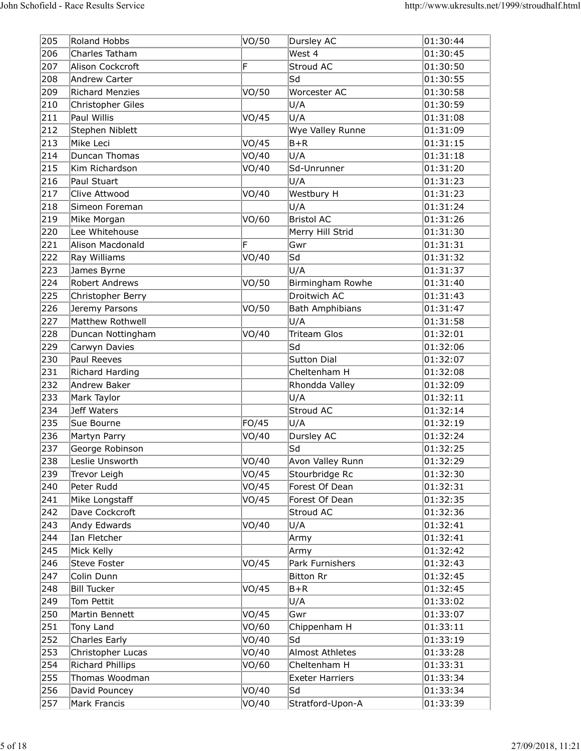|              | John Schofield - Race Results Service |                |                                  | http://www.ukresults.net/1999/stroudhalf.html |
|--------------|---------------------------------------|----------------|----------------------------------|-----------------------------------------------|
|              |                                       |                |                                  |                                               |
| 205          | Roland Hobbs                          | VO/50          | Dursley AC                       | 01:30:44                                      |
| 206          | Charles Tatham                        |                | West 4                           | 01:30:45                                      |
| 207<br>208   | Alison Cockcroft<br>Andrew Carter     | F              | Stroud AC<br>Sd                  | 01:30:50 <br> 01:30:55                        |
| 209          | Richard Menzies                       | VO/50          | Worcester AC                     | 01:30:58                                      |
| 210          | Christopher Giles                     |                | U/A                              | 01:30:59                                      |
| 211          | Paul Willis                           | VO/45          | U/A                              | 01:31:08                                      |
| 212<br>213   | Stephen Niblett<br>Mike Leci          | VO/45          | Wye Valley Runne<br>$B+R$        | 01:31:09<br> 01:31:15                         |
| 214          | Duncan Thomas                         | VO/40          | U/A                              | 01:31:18                                      |
| 215          | Kim Richardson                        | VO/40          | Sd-Unrunner                      | 01:31:20                                      |
| 216          | Paul Stuart                           |                | U/A                              | 01:31:23                                      |
| 217<br>218   | Clive Attwood<br>Simeon Foreman       | VO/40          | Westbury H<br>U/A                | 01:31:23<br> 01:31:24                         |
| 219          | Mike Morgan                           | VO/60          | <b>Bristol AC</b>                | 01:31:26                                      |
| 220          | Lee Whitehouse                        |                | Merry Hill Strid                 | 01:31:30                                      |
| 221          | Alison Macdonald                      |                | Gwr                              | 01:31:31                                      |
| 222          | Ray Williams                          | VO/40          | Sd                               | 01:31:32                                      |
| 223<br>224   | James Byrne<br>Robert Andrews         | VO/50          | U/A<br>Birmingham Rowhe          | 01:31:37<br>01:31:40                          |
| 225          | Christopher Berry                     |                | Droitwich AC                     | 01:31:43                                      |
| 226          | Jeremy Parsons                        | VO/50          | <b>Bath Amphibians</b>           | 01:31:47                                      |
| 227          | Matthew Rothwell                      |                | U/A                              | 01:31:58                                      |
| 228<br>229   | Duncan Nottingham                     | VO/40          | Triteam Glos<br>Sd.              | 01:32:01<br>01:32:06                          |
| 230          | Carwyn Davies<br>Paul Reeves          |                | Sutton Dial                      | 01:32:07                                      |
| 231          | Richard Harding                       |                | Cheltenham H                     | 01:32:08                                      |
| 232          | Andrew Baker                          |                | Rhondda Valley                   | 01:32:09                                      |
| 233          | Mark Taylor                           |                | U/A<br>Stroud AC                 | 01:32:11                                      |
| 234<br>235   | Jeff Waters<br>Sue Bourne             | FO/45          | U/A                              | 01:32:14<br> 01:32:19                         |
| 236          | Martyn Parry                          | VO/40          | Dursley AC                       | 01:32:24                                      |
| 237          | George Robinson                       |                | Sd.                              | 01:32:25                                      |
| 238          | Leslie Unsworth                       | VO/40          | Avon Valley Runn                 | 01:32:29                                      |
| 239          | Trevor Leigh                          | VO/45<br>VO/45 | Stourbridge Rc                   | 01:32:30                                      |
| 240<br>241   | Peter Rudd<br>Mike Longstaff          | VO/45          | Forest Of Dean<br>Forest Of Dean | 01:32:31<br> 01:32:35                         |
| 242          | Dave Cockcroft                        |                | Stroud AC                        | 01:32:36                                      |
| 243          | Andy Edwards                          | VO/40          | U/A                              | 01:32:41                                      |
| 244          | Ian Fletcher                          |                | Army                             | 01:32:41                                      |
| 245<br>246   | Mick Kelly<br>Steve Foster            | VO/45          | Army<br>Park Furnishers          | 01:32:42<br> 01:32:43                         |
| 247          | Colin Dunn                            |                | <b>Bitton Rr</b>                 | 01:32:45                                      |
| 248          | <b>Bill Tucker</b>                    | VO/45          | $B+R$                            | 01:32:45                                      |
| 249          | Tom Pettit                            |                | U/A                              | $ 01:33:02\rangle$                            |
| $\sqrt{250}$ | Martin Bennett                        | VO/45          | Gwr                              | 01:33:07                                      |
| 251<br>252   | Tony Land<br>Charles Early            | VO/60<br>VO/40 | Chippenham H<br>Sd.              | 01:33:11<br> 01:33:19                         |
| 253          | Christopher Lucas                     | VO/40          | Almost Athletes                  | 01:33:28                                      |
| 254          | Richard Phillips                      | VO/60          | Cheltenham H                     | 01:33:31                                      |
| 255          | Thomas Woodman                        |                | <b>Exeter Harriers</b>           | 01:33:34                                      |
| 256          | David Pouncey                         | VO/40          | Sd                               | 01:33:34                                      |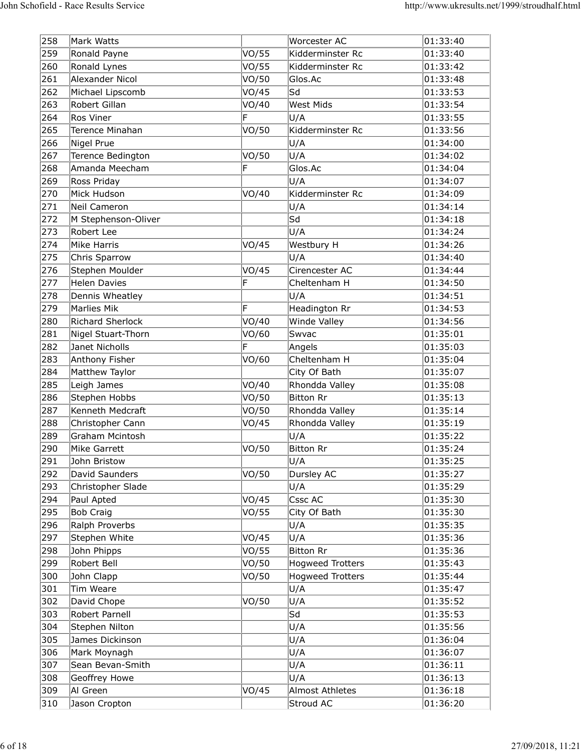| 258        | Mark Watts                          |                | Worcester AC                                       | 01:33:40               |
|------------|-------------------------------------|----------------|----------------------------------------------------|------------------------|
| 259        | Ronald Payne                        | VO/55          | Kidderminster Rc                                   | 01:33:40               |
| 260<br>261 | Ronald Lynes<br>Alexander Nicol     | VO/55<br>VO/50 | Kidderminster Rc<br>Glos.Ac                        | 01:33:42<br>01:33:48   |
| 262        | Michael Lipscomb                    | VO/45          | lSd                                                | 01:33:53               |
| 263        | Robert Gillan                       | VO/40          | West Mids                                          | 01:33:54               |
| 264        | Ros Viner                           |                | U/A                                                | 01:33:55               |
| 265        | Terence Minahan                     | VO/50          | Kidderminster Rc                                   | 01:33:56               |
| 266        | Nigel Prue                          |                | U/A                                                | 01:34:00               |
| 267<br>268 | Terence Bedington<br>Amanda Meecham | VO/50          | U/A<br>Glos.Ac                                     | 01:34:02 <br> 01:34:04 |
| 269        | Ross Priday                         |                | U/A                                                | 01:34:07               |
| 270        | Mick Hudson                         | VO/40          | Kidderminster Rc                                   | 01:34:09               |
| 271        | Neil Cameron                        |                | U/A                                                | 01:34:14               |
| 272        | M Stephenson-Oliver                 |                | Sd                                                 | 01:34:18               |
| 273        | Robert Lee                          |                | U/A                                                | 01:34:24               |
| 274        | Mike Harris                         | VO/45          | Westbury H                                         | 01:34:26               |
| 275<br>276 | Chris Sparrow<br>Stephen Moulder    | VO/45          | U/A<br>Cirencester AC                              | 01:34:40<br>01:34:44   |
| 277        | Helen Davies                        |                | Cheltenham H                                       | 01:34:50               |
| 278        | Dennis Wheatley                     |                | U/A                                                | 01:34:51               |
| 279        | Marlies Mik                         | Е              | Headington Rr                                      | 01:34:53               |
| 280        | Richard Sherlock                    | VO/40          | Winde Valley                                       | 01:34:56               |
| 281        | Nigel Stuart-Thorn                  | VO/60          | Swvac                                              | 01:35:01               |
| 282        | Janet Nicholls                      |                | Angels                                             | 01:35:03               |
| 283<br>284 | Anthony Fisher<br>Matthew Taylor    | VO/60          | Cheltenham H<br>City Of Bath                       | 01:35:04<br> 01:35:07  |
| 285        | Leigh James                         | VO/40          | Rhondda Valley                                     | 01:35:08               |
| 286        | Stephen Hobbs                       | VO/50          | <b>Bitton Rr</b>                                   | 01:35:13               |
| 287        | Kenneth Medcraft                    | VO/50          | Rhondda Valley                                     | 01:35:14               |
| 288        | Christopher Cann                    | VO/45          | Rhondda Valley                                     | 01:35:19               |
| 289        | Graham Mcintosh                     |                | U/A                                                | 01:35:22               |
| 290        | Mike Garrett                        | VO/50          | Bitton Rr                                          | 01:35:24               |
| 291<br>292 | John Bristow<br>David Saunders      | VO/50          | U/A<br>Dursley AC                                  | 01:35:25<br> 01:35:27  |
| 293        | Christopher Slade                   |                | U/A                                                | 01:35:29               |
| 294        | Paul Apted                          | VO/45          | Cssc AC                                            | 01:35:30               |
| 295        | <b>Bob Craig</b>                    | VO/55          | City Of Bath                                       | 01:35:30               |
| 296        | Ralph Proverbs                      |                | U/A                                                | 01:35:35               |
| 297        | Stephen White                       | VO/45          | U/A                                                | 01:35:36               |
| 298        | John Phipps                         | VO/55          | <b>Bitton Rr</b>                                   | 01:35:36               |
| 299<br>300 | Robert Bell<br>John Clapp           | VO/50<br>VO/50 | <b>Hogweed Trotters</b><br><b>Hogweed Trotters</b> | 01:35:43<br> 01:35:44  |
| 301        | Tim Weare                           |                | U/A                                                | 01:35:47               |
| 302        | David Chope                         | VO/50          | U/A                                                | 01:35:52               |
| 303        | Robert Parnell                      |                | $\overline{\mathsf{Sd}}$                           | 01:35:53               |
| 304        | Stephen Nilton                      |                | U/A                                                | 01:35:56               |
| 305        | James Dickinson                     |                | U/A                                                | 01:36:04               |
| 306        | Mark Moynagh                        |                | U/A                                                | 01:36:07               |
| 307<br>308 | Sean Bevan-Smith<br>Geoffrey Howe   |                | U/A<br>U/A                                         | 01:36:11<br> 01:36:13  |
| 309        | AI Green                            | VO/45          | Almost Athletes                                    | 01:36:18               |
|            |                                     |                |                                                    |                        |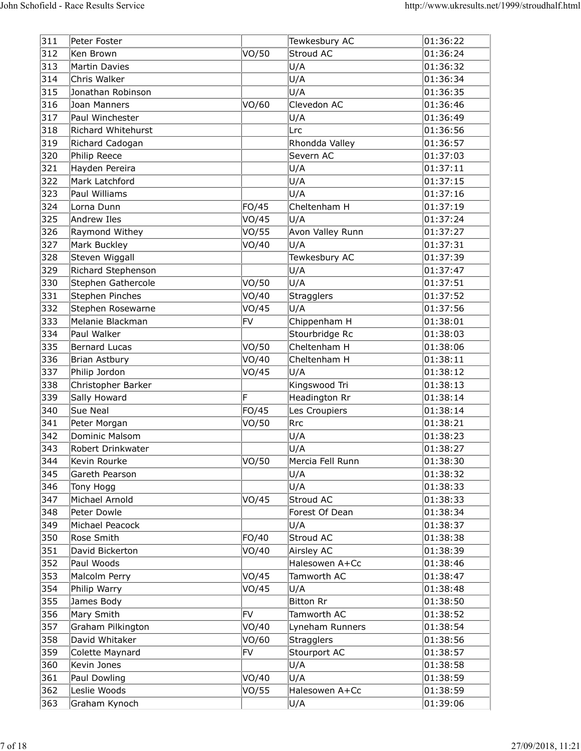|               |                                       |                |                                | http://www.ukresults.net/1999/stroudhalf.html |
|---------------|---------------------------------------|----------------|--------------------------------|-----------------------------------------------|
|               |                                       |                |                                |                                               |
| $ 311\rangle$ | Peter Foster                          |                | Tewkesbury AC                  | 01:36:22                                      |
| 312<br>313    | Ken Brown<br>Martin Davies            | VO/50          | Stroud AC<br>U/A               | 01:36:24<br>01:36:32                          |
| 314           | Chris Walker                          |                | U/A                            | 01:36:34                                      |
| 315           | Jonathan Robinson                     |                | U/A                            | 01:36:35                                      |
| 316           | Joan Manners                          | VO/60          | Clevedon AC                    | 01:36:46                                      |
| 317<br>318    | Paul Winchester<br>Richard Whitehurst |                | U/A<br>Lrc                     | 01:36:49<br>01:36:56                          |
| 319           | Richard Cadogan                       |                | Rhondda Valley                 | 01:36:57                                      |
| 320           | Philip Reece                          |                | Severn AC                      | 01:37:03                                      |
| 321           | Hayden Pereira                        |                | U/A                            | 01:37:11                                      |
| 322<br>323    | Mark Latchford                        |                | U/A                            | 01:37:15<br> 01:37:16                         |
| 324           | Paul Williams<br>Lorna Dunn           | FO/45          | U/A<br>Cheltenham H            | 01:37:19                                      |
| 325           | Andrew Iles                           | VO/45          | U/A                            | 01:37:24                                      |
| 326           | Raymond Withey                        | VO/55          | Avon Valley Runn               | 01:37:27                                      |
| 327           | Mark Buckley                          | VO/40          | U/A                            | 01:37:31                                      |
| 328<br>329    | Steven Wiggall<br>Richard Stephenson  |                | Tewkesbury AC<br>U/A           | 01:37:39<br>01:37:47                          |
| 330           | Stephen Gathercole                    | VO/50          | U/A                            | 01:37:51                                      |
| 331           | Stephen Pinches                       | VO/40          | Stragglers                     | 01:37:52                                      |
| 332           | Stephen Rosewarne                     | VO/45          | U/A                            | 01:37:56                                      |
| 333           | Melanie Blackman                      | FV             | Chippenham H                   | 01:38:01                                      |
| 334<br>335    | Paul Walker<br>Bernard Lucas          | VO/50          | Stourbridge Rc<br>Cheltenham H | 01:38:03<br> 01:38:06                         |
| 336           | Brian Astbury                         | VO/40          | Cheltenham H                   | 01:38:11                                      |
| 337           | Philip Jordon                         | VO/45          | U/A                            | 01:38:12                                      |
| 338           | Christopher Barker                    |                | Kingswood Tri                  | 01:38:13                                      |
| 339<br>340    | Sally Howard<br>Sue Neal              | FO/45          | Headington Rr<br>Les Croupiers | 01:38:14<br> 01:38:14                         |
| 341           | Peter Morgan                          | VO/50          | Rrc                            | 01:38:21                                      |
| 342           | Dominic Malsom                        |                | U/A                            | 01:38:23                                      |
| 343           | Robert Drinkwater                     |                | U/A                            | 01:38:27                                      |
| 344           | Kevin Rourke                          | VO/50          | Mercia Fell Runn               | 01:38:30                                      |
| 345<br>346    | Gareth Pearson<br>Tony Hogg           |                | U/A<br>U/A                     | 01:38:32<br> 01:38:33                         |
| 347           | Michael Arnold                        | VO/45          | Stroud AC                      | 01:38:33                                      |
| 348           | Peter Dowle                           |                | Forest Of Dean                 | 01:38:34                                      |
| 349           | Michael Peacock                       |                | U/A                            | 01:38:37                                      |
| 350<br>351    | Rose Smith<br>David Bickerton         | FO/40<br>VO/40 | Stroud AC<br>Airsley AC        | 01:38:38<br> 01:38:39                         |
| 352           | Paul Woods                            |                | Halesowen A+Cc                 | 01:38:46                                      |
| 353           | Malcolm Perry                         | VO/45          | Tamworth AC                    | 01:38:47                                      |
| 354           | Philip Warry                          | VO/45          | U/A                            | 01:38:48                                      |
| 355           | James Body                            |                | <b>Bitton Rr</b>               | 01:38:50                                      |
| 356<br>357    | Mary Smith<br>Graham Pilkington       | FV<br>VO/40    | Tamworth AC<br>Lyneham Runners | 01:38:52<br> 01:38:54                         |
| 358           | David Whitaker                        | VO/60          | Stragglers                     | 01:38:56                                      |
| 359           | Colette Maynard                       | FV             | Stourport AC                   | 01:38:57                                      |
| 360           | Kevin Jones                           |                | U/A                            | 01:38:58                                      |
| 361           | Paul Dowling                          | VO/40          | U/A                            | 01:38:59                                      |
| 362<br>363    | Leslie Woods<br>Graham Kynoch         | VO/55          | Halesowen A+Cc                 | 01:38:59                                      |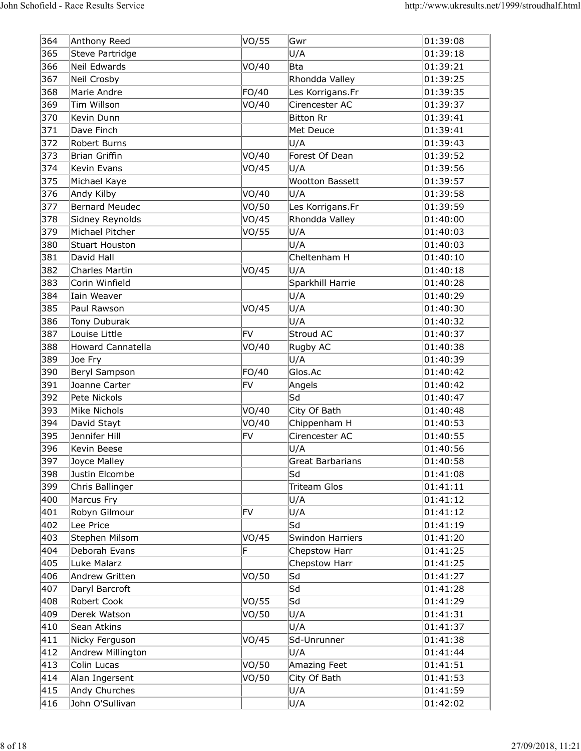|              |                                 |                |                          | http://www.ukresults.net/1999/stroudhalf.html |
|--------------|---------------------------------|----------------|--------------------------|-----------------------------------------------|
|              |                                 |                |                          |                                               |
| 364          | Anthony Reed                    | VO/55          | Gwr                      | 01:39:08                                      |
| 365          | Steve Partridge                 |                | U/A                      | 01:39:18                                      |
| 366<br>367   | Neil Edwards<br>Neil Crosby     | VO/40          | Bta<br>Rhondda Valley    | 01:39:21<br> 01:39:25                         |
| 368          | Marie Andre                     | FO/40          | Les Korrigans.Fr         | 01:39:35                                      |
| 369          | Tim Willson                     | VO/40          | Cirencester AC           | 01:39:37                                      |
| 370          | Kevin Dunn                      |                | <b>Bitton Rr</b>         | 01:39:41                                      |
| 371          | Dave Finch                      |                | Met Deuce                | 01:39:41                                      |
| 372          | Robert Burns                    |                | U/A                      | 01:39:43                                      |
| 373<br>374   | Brian Griffin<br>Kevin Evans    | VO/40<br>VO/45 | Forest Of Dean<br>U/A    | 01:39:52<br> 01:39:56                         |
| 375          | Michael Kaye                    |                | <b>Wootton Bassett</b>   | 01:39:57                                      |
| 376          | Andy Kilby                      | VO/40          | U/A                      | 01:39:58                                      |
| 377          | Bernard Meudec                  | VO/50          | Les Korrigans.Fr         | 01:39:59                                      |
| 378          | Sidney Reynolds                 | VO/45          | Rhondda Valley           | 01:40:00                                      |
| 379          | Michael Pitcher                 | VO/55          | U/A                      | 01:40:03                                      |
| 380<br>381   | Stuart Houston<br>David Hall    |                | U/A<br>Cheltenham H      | 01:40:03<br> 01:40:10                         |
| 382          | Charles Martin                  | VO/45          | U/A                      | 01:40:18                                      |
| 383          | Corin Winfield                  |                | Sparkhill Harrie         | 01:40:28                                      |
| 384          | Iain Weaver                     |                | U/A                      | 01:40:29                                      |
| 385          | Paul Rawson                     | VO/45          | U/A                      | 01:40:30                                      |
| 386          | Tony Duburak                    |                | U/A                      | 01:40:32                                      |
| 387          | Louise Little                   | FV             | Stroud AC                | 01:40:37                                      |
| 388<br>389   | Howard Cannatella<br>Joe Fry    | VO/40          | Rugby AC<br>U/A          | 01:40:38<br>01:40:39                          |
| 390          | Beryl Sampson                   | FO/40          | Glos.Ac                  | 01:40:42                                      |
| 391          | Joanne Carter                   | lfv.           | Angels                   | 01:40:42                                      |
| 392          | Pete Nickols                    |                | Sd.                      | 01:40:47                                      |
| 393          | Mike Nichols                    | VO/40          | City Of Bath             | 01:40:48                                      |
| 394          | David Stayt                     | VO/40          | Chippenham H             | 01:40:53                                      |
| 395          | Jennifer Hill                   | FV             | Cirencester AC           | 01:40:55                                      |
| 396<br>397   | Kevin Beese<br>Joyce Malley     |                | U/A<br>Great Barbarians  | 01:40:56<br> 01:40:58                         |
| 398          | Justin Elcombe                  |                | Sd                       | 01:41:08                                      |
| 399          | Chris Ballinger                 |                | <b>Triteam Glos</b>      | 01:41:11                                      |
| 400          | Marcus Fry                      |                | U/A                      | 01:41:12                                      |
| 401          | Robyn Gilmour                   | FV             | U/A                      | 01:41:12                                      |
| 402          | Lee Price                       |                | Sd                       | 01:41:19                                      |
| 403          | Stephen Milsom                  | VO/45          | Swindon Harriers         | 01:41:20                                      |
| 404          | Deborah Evans                   |                | Chepstow Harr            | 01:41:25                                      |
| 405<br>406   | Luke Malarz<br>Andrew Gritten   | VO/50          | Chepstow Harr<br>Sd      | 01:41:25<br> 01:41:27                         |
| 407          | Daryl Barcroft                  |                | Sd                       | 01:41:28                                      |
| 408          | Robert Cook                     | VO/55          | $\overline{\mathsf{Sd}}$ | 01:41:29                                      |
| $\sqrt{409}$ | Derek Watson                    | VO/50          | U/A                      | 01:41:31                                      |
| 410          | Sean Atkins                     |                | U/A                      | 01:41:37                                      |
| 411          | Nicky Ferguson                  | VO/45          | Sd-Unrunner              | 01:41:38                                      |
| 412          | Andrew Millington               |                | U/A                      | 01:41:44                                      |
| 413          | Colin Lucas                     | VO/50          | Amazing Feet             | 01:41:51                                      |
| 414<br>415   | Alan Ingersent<br>Andy Churches | VO/50          | City Of Bath<br>U/A      | 01:41:53<br> 01:41:59                         |
|              | John O'Sullivan                 |                |                          |                                               |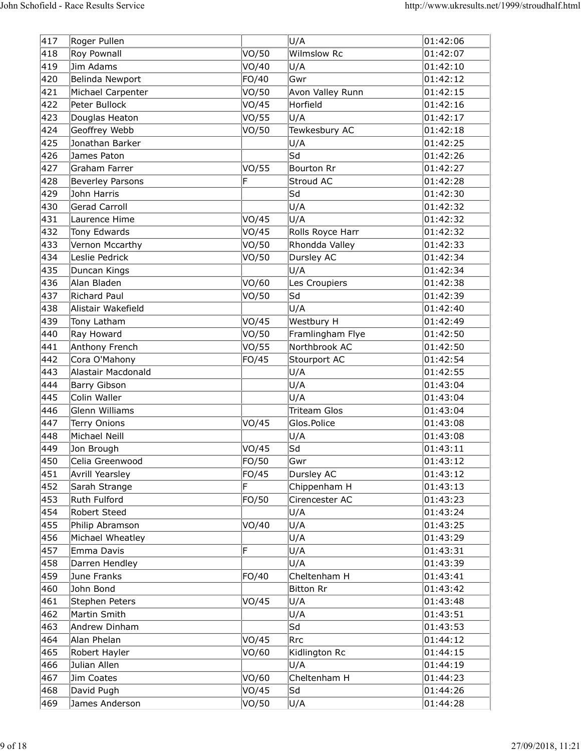|              |                                   |                |                                   | http://www.ukresults.net/1999/stroudhalf.html |
|--------------|-----------------------------------|----------------|-----------------------------------|-----------------------------------------------|
|              |                                   |                |                                   |                                               |
| 417          | Roger Pullen                      |                | U/A                               | 01:42:06                                      |
| 418<br>419   | Roy Pownall<br>Jim Adams          | VO/50<br>VO/40 | Wilmslow Rc<br>U/A                | 01:42:07<br> 01:42:10                         |
| 420          | Belinda Newport                   | FO/40          | Gwr                               | 01:42:12                                      |
| 421          | Michael Carpenter                 | VO/50          | Avon Valley Runn                  | 01:42:15                                      |
| 422          | Peter Bullock                     | VO/45          | Horfield                          | 01:42:16                                      |
| 423          | Douglas Heaton                    | VO/55          | U/A                               | 01:42:17                                      |
| 424          | Geoffrey Webb                     | VO/50          | Tewkesbury AC                     | 01:42:18                                      |
| 425<br>426   | Jonathan Barker<br>James Paton    |                | U/A<br>lsd                        | 01:42:25<br>01:42:26                          |
| 427          | Graham Farrer                     | VO/55          | <b>Bourton Rr</b>                 | 01:42:27                                      |
| 428          | Beverley Parsons                  | ΙF             | Stroud AC                         | 01:42:28                                      |
| 429          | John Harris                       |                | Sd                                | 01:42:30                                      |
| 430          | Gerad Carroll                     |                | U/A                               | 01:42:32                                      |
| 431          | Laurence Hime                     | VO/45          | U/A                               | 01:42:32                                      |
| 432          | Tony Edwards                      | VO/45          | Rolls Royce Harr                  | 01:42:32                                      |
| 433<br>434   | Vernon Mccarthy<br>Leslie Pedrick | VO/50<br>VO/50 | Rhondda Valley<br>Dursley AC      | 01:42:33<br>01:42:34                          |
| 435          | Duncan Kings                      |                | U/A                               | 01:42:34                                      |
| 436          | Alan Bladen                       | VO/60          | Les Croupiers                     | 01:42:38                                      |
| 437          | Richard Paul                      | VO/50          | Sd.                               | 01:42:39                                      |
| 438          | Alistair Wakefield                |                | U/A                               | 01:42:40                                      |
| 439          | Tony Latham                       | VO/45          | Westbury H                        | 01:42:49                                      |
| 440<br>441   | Ray Howard<br>Anthony French      | VO/50<br>VO/55 | Framlingham Flye<br>Northbrook AC | 01:42:50<br> 01:42:50                         |
| 442          | Cora O'Mahony                     | FO/45          | Stourport AC                      | 01:42:54                                      |
| 443          | Alastair Macdonald                |                | U/A                               | 01:42:55                                      |
| 444          | Barry Gibson                      |                | U/A                               | 01:43:04                                      |
| 445          | Colin Waller                      |                | U/A                               | 01:43:04                                      |
| 446          | Glenn Williams                    |                | Triteam Glos                      | 01:43:04                                      |
| 447          | <b>Terry Onions</b>               | VO/45          | Glos.Police                       | 01:43:08                                      |
| 448 <br>449  | Michael Neill<br>Jon Brough       | VO/45          | U/A<br>Sd                         | 01:43:08<br> 01:43:11                         |
| 450          | Celia Greenwood                   | FO/50          | Gwr                               | 01:43:12                                      |
| 451          | Avrill Yearsley                   | FO/45          | Dursley AC                        | 01:43:12                                      |
| 452          | Sarah Strange                     |                | Chippenham H                      | 01:43:13                                      |
| 453          | Ruth Fulford                      | FO/50          | Cirencester AC                    | 01:43:23                                      |
| 454          | Robert Steed                      |                | U/A                               | 01:43:24                                      |
| 455          | Philip Abramson                   | VO/40          | U/A                               | 01:43:25                                      |
| 456<br>457   | Michael Wheatley<br>Emma Davis    | Е              | U/A<br>U/A                        | 01:43:29<br> 01:43:31                         |
| 458          | Darren Hendley                    |                | U/A                               | 01:43:39                                      |
| 459          | June Franks                       | FO/40          | Cheltenham H                      | 01:43:41                                      |
| 460          | John Bond                         |                | <b>Bitton Rr</b>                  | 01:43:42                                      |
| 461          | Stephen Peters                    | VO/45          | U/A                               | 01:43:48                                      |
| $\sqrt{462}$ | Martin Smith                      |                | U/A                               | 01:43:51                                      |
| 463          | Andrew Dinham                     |                | $\overline{\mathsf{Sd}}$          | 01:43:53                                      |
| 464          | Alan Phelan                       | VO/45          | Rrc                               | 01:44:12                                      |
| 465<br>466   | Robert Hayler<br>Julian Allen     | VO/60          | Kidlington Rc<br>U/A              | 01:44:15<br>01:44:19                          |
| 467          | Jim Coates                        | VO/60          | Cheltenham H                      | 01:44:23                                      |
| 468          | David Pugh                        | VO/45          | Sd                                | 01:44:26                                      |
| 469          | James Anderson                    | VO/50          |                                   |                                               |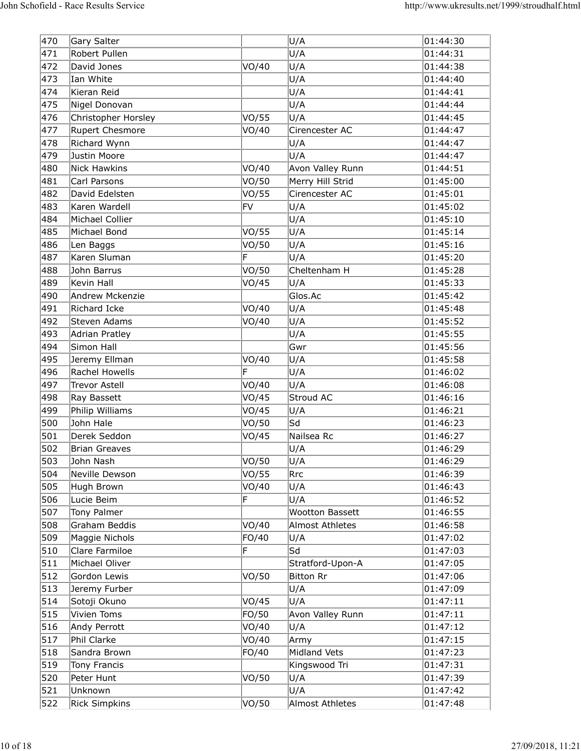|                         | John Schofield - Race Results Service |                |                          | http://www.ukresults.net/1999/stroudhalf.html |
|-------------------------|---------------------------------------|----------------|--------------------------|-----------------------------------------------|
|                         |                                       |                |                          |                                               |
| 470                     | Gary Salter                           |                | U/A                      | 01:44:30                                      |
| 471                     | Robert Pullen                         |                | U/A                      | 01:44:31                                      |
| 472                     | David Jones                           | VO/40          | U/A                      | 01:44:38                                      |
| 473<br>474              | Ian White<br>Kieran Reid              |                | U/A<br>U/A               | 01:44:40<br> 01:44:41                         |
| 475                     | Nigel Donovan                         |                | U/A                      | 01:44:44                                      |
| 476                     | Christopher Horsley                   | VO/55          | U/A                      | 01:44:45                                      |
| 477                     | Rupert Chesmore                       | VO/40          | Cirencester AC           | 01:44:47                                      |
| 478                     | Richard Wynn                          |                | U/A                      | 01:44:47                                      |
| 479<br>480              | Justin Moore<br>Nick Hawkins          | VO/40          | U/A<br>Avon Valley Runn  | 01:44:47<br> 01:44:51                         |
| 481                     | Carl Parsons                          | VO/50          | Merry Hill Strid         | 01:45:00                                      |
| 482                     | David Edelsten                        | VO/55          | Cirencester AC           | 01:45:01                                      |
| 483                     | Karen Wardell                         | FV             | U/A                      | 01:45:02                                      |
| 484                     | Michael Collier                       |                | U/A                      | 01:45:10                                      |
| 485                     | Michael Bond                          | VO/55          | U/A                      | 01:45:14                                      |
| 486<br>487              | Len Baggs<br>Karen Sluman             | VO/50<br>F     | U/A<br>U/A               | 01:45:16<br>01:45:20                          |
| 488                     | John Barrus                           | VO/50          | Cheltenham H             | 01:45:28                                      |
| 489                     | Kevin Hall                            | VO/45          | U/A                      | 01:45:33                                      |
| 490                     | Andrew Mckenzie                       |                | Glos.Ac                  | 01:45:42                                      |
| 491                     | Richard Icke                          | VO/40          | U/A                      | 01:45:48                                      |
| 492                     | Steven Adams                          | VO/40          | U/A                      | $ 01:45:52\rangle$                            |
| 493 <br>494             | Adrian Pratley<br>Simon Hall          |                | U/A<br>Gwr               | 01:45:55<br> 01:45:56                         |
| 495                     | Jeremy Ellman                         | VO/40          | U/A                      | 01:45:58                                      |
| 496                     | Rachel Howells                        |                | U/A                      | 01:46:02                                      |
| 497                     | Trevor Astell                         | VO/40          | U/A                      | 01:46:08                                      |
| 498                     | Ray Bassett                           | VO/45          | Stroud AC                | 01:46:16                                      |
| 499                     | Philip Williams                       | VO/45          | U/A                      | 01:46:21                                      |
| 500<br>501              | John Hale<br>Derek Seddon             | VO/50<br>VO/45 | Sd.<br>Nailsea Rc        | 01:46:23<br> 01:46:27                         |
| 502                     | Brian Greaves                         |                | U/A                      | 01:46:29                                      |
| 503                     | John Nash                             | VO/50          | U/A                      | 01:46:29                                      |
| 504                     | Neville Dewson                        | VO/55          | Rrc                      | 01:46:39                                      |
| 505                     | Hugh Brown                            | VO/40          | U/A                      | 01:46:43                                      |
| 506                     | Lucie Beim                            |                | U/A                      | 01:46:52                                      |
| 507                     | Tony Palmer                           |                | <b>Wootton Bassett</b>   | 01:46:55                                      |
| 508<br>509              | Graham Beddis<br>Maggie Nichols       | VO/40<br>FO/40 | Almost Athletes<br>U/A   | 01:46:58<br>01:47:02                          |
| 510                     | Clare Farmiloe                        |                | $\overline{\mathsf{Sd}}$ | 01:47:03                                      |
| 511                     | Michael Oliver                        |                | Stratford-Upon-A         | 01:47:05                                      |
| 512                     | Gordon Lewis                          | VO/50          | <b>Bitton Rr</b>         | 01:47:06                                      |
| 513                     | Jeremy Furber                         |                | U/A                      | 01:47:09                                      |
| 514                     | Sotoji Okuno                          | VO/45          | U/A                      | 01:47:11                                      |
| $\overline{515}$<br>516 | Vivien Toms<br>Andy Perrott           | FO/50<br>VO/40 | Avon Valley Runn<br>U/A  | 01:47:11<br> 01:47:12                         |
| 517                     | Phil Clarke                           | VO/40          | Army                     | 01:47:15                                      |
| 518                     | Sandra Brown                          | FO/40          | Midland Vets             | 01:47:23                                      |
| 519                     | Tony Francis                          |                | Kingswood Tri            | 01:47:31                                      |
| 520                     | Peter Hunt                            | VO/50          | U/A                      | 01:47:39                                      |
| 521                     | Unknown                               |                | U/A                      | 01:47:42                                      |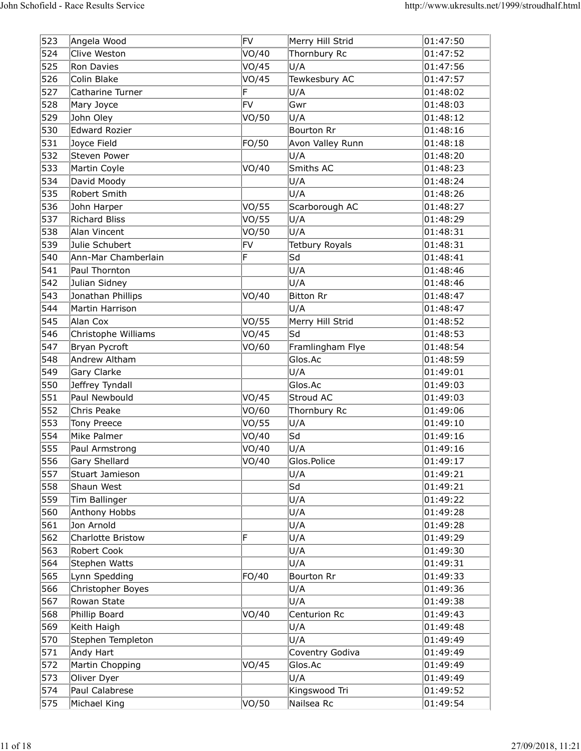| 523<br>524 | Angela Wood<br>Clive Weston          | FV<br>VO/40    | Merry Hill Strid<br>Thornbury Rc | 01:47:50<br>01:47:52  |
|------------|--------------------------------------|----------------|----------------------------------|-----------------------|
| 525        | Ron Davies                           | VO/45          | U/A                              | 01:47:56              |
| 526        | Colin Blake                          | VO/45          | Tewkesbury AC                    | 01:47:57              |
| 527        | Catharine Turner                     |                | U/A                              | 01:48:02              |
| 528<br>529 | Mary Joyce<br>John Oley              | FV<br>VO/50    | Gwr<br>U/A                       | 01:48:03<br> 01:48:12 |
| 530        | Edward Rozier                        |                | Bourton Rr                       | 01:48:16              |
| 531        | Joyce Field                          | FO/50          | Avon Valley Runn                 | 01:48:18              |
| 532        | Steven Power                         |                | U/A                              | 01:48:20              |
| 533<br>534 | Martin Coyle                         | VO/40          | Smiths AC                        | 01:48:23              |
| 535        | David Moody<br>Robert Smith          |                | U/A<br>U/A                       | 01:48:24<br>01:48:26  |
| 536        | John Harper                          | VO/55          | Scarborough AC                   | 01:48:27              |
| 537        | Richard Bliss                        | VO/55          | U/A                              | 01:48:29              |
| 538        | Alan Vincent                         | VO/50          | U/A                              | 01:48:31              |
| 539        | Julie Schubert                       | FV<br>F        | <b>Tetbury Royals</b>            | 01:48:31              |
| 540<br>541 | Ann-Mar Chamberlain<br>Paul Thornton |                | Sd<br>U/A                        | 01:48:41<br>01:48:46  |
| 542        | Julian Sidney                        |                | U/A                              | 01:48:46              |
| 543        | Jonathan Phillips                    | VO/40          | <b>Bitton Rr</b>                 | 01:48:47              |
| 544        | Martin Harrison                      |                | U/A                              | 01:48:47              |
| 545        | Alan Cox                             | VO/55          | Merry Hill Strid                 | 01:48:52              |
| 546<br>547 | Christophe Williams<br>Bryan Pycroft | VO/45<br>VO/60 | Sd<br>Framlingham Flye           | 01:48:53<br> 01:48:54 |
| 548        | Andrew Altham                        |                | Glos.Ac                          | 01:48:59              |
| 549        | Gary Clarke                          |                | U/A                              | 01:49:01              |
| 550        | Jeffrey Tyndall                      |                | Glos.Ac                          | 01:49:03              |
| 551        | Paul Newbould                        | VO/45          | Stroud AC                        | 01:49:03              |
| 552<br>553 | Chris Peake<br>Tony Preece           | VO/60<br>VO/55 | Thornbury Rc<br>U/A              | 01:49:06<br> 01:49:10 |
| 554        | Mike Palmer                          | VO/40          | $\overline{\mathsf{Sd}}$         | 01:49:16              |
| 555        | Paul Armstrong                       | VO/40          | U/A                              | 01:49:16              |
| 556        | Gary Shellard                        | VO/40          | Glos.Police                      | 01:49:17              |
| 557        | Stuart Jamieson                      |                | U/A                              | 01:49:21              |
| 558<br>559 | Shaun West                           |                | $\overline{\mathsf{Sd}}$         | 01:49:21              |
| 560        | Tim Ballinger<br>Anthony Hobbs       |                | U/A<br>U/A                       | 01:49:22<br>01:49:28  |
| 561        | Jon Arnold                           |                | U/A                              | 01:49:28              |
| 562        | Charlotte Bristow                    |                | U/A                              | 01:49:29              |
| 563        | Robert Cook                          |                | U/A                              | 01:49:30              |
| 564        | Stephen Watts                        |                | U/A                              | 01:49:31              |
| 565<br>566 | Lynn Spedding<br>Christopher Boyes   | FO/40          | Bourton Rr<br>U/A                | 01:49:33<br>01:49:36  |
| 567        | Rowan State                          |                | U/A                              | 01:49:38              |
| 568        | Phillip Board                        | VO/40          | Centurion Rc                     | 01:49:43              |
| 569        | Keith Haigh                          |                | U/A                              | 01:49:48              |
| 570        | Stephen Templeton                    |                | U/A                              | 01:49:49              |
| 571        | Andy Hart                            |                | Coventry Godiva                  | 01:49:49              |
| 572<br>573 | Martin Chopping<br>Oliver Dyer       | VO/45          | Glos.Ac<br>U/A                   | 01:49:49<br>01:49:49  |
| 574        | Paul Calabrese                       |                | Kingswood Tri                    | 01:49:52              |
| 575        | Michael King                         | VO/50          | Nailsea Rc                       | 01:49:54              |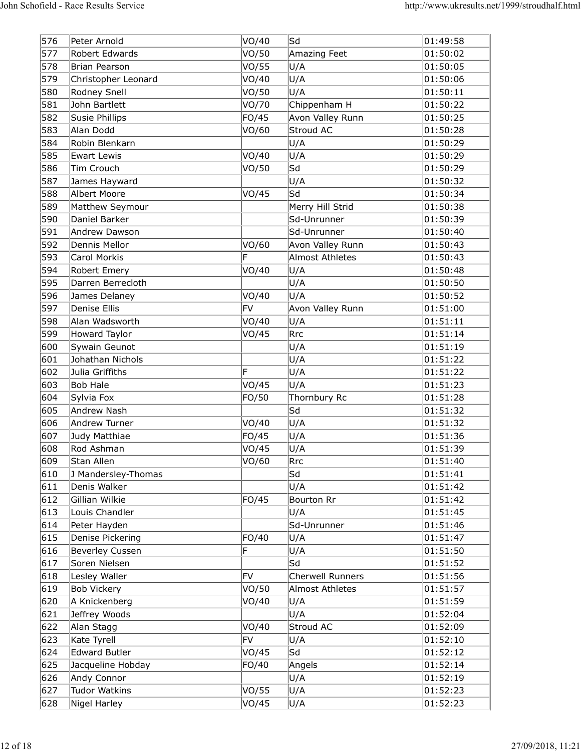|                         |                                      |                |                            | http://www.ukresults.net/1999/stroudhalf.html |
|-------------------------|--------------------------------------|----------------|----------------------------|-----------------------------------------------|
|                         |                                      |                |                            |                                               |
| 576                     | Peter Arnold                         | VO/40          | Sd                         | 01:49:58                                      |
| 577                     | Robert Edwards                       | VO/50          | Amazing Feet               | 01:50:02                                      |
| 578<br>579              | Brian Pearson<br>Christopher Leonard | VO/55<br>VO/40 | U/A<br>U/A                 | 01:50:05<br> 01:50:06                         |
| 580                     | Rodney Snell                         | VO/50          | U/A                        | 01:50:11                                      |
| 581                     | John Bartlett                        | VO/70          | Chippenham H               | 01:50:22                                      |
| 582                     | Susie Phillips                       | FO/45          | Avon Valley Runn           | 01:50:25                                      |
| 583                     | Alan Dodd                            | VO/60          | Stroud AC                  | 01:50:28                                      |
| 584<br>585              | Robin Blenkarn<br>Ewart Lewis        | VO/40          | U/A<br>U/A                 | 01:50:29<br> 01:50:29                         |
| 586                     | <b>Tim Crouch</b>                    | VO/50          | Sd                         | 01:50:29                                      |
| 587                     | James Hayward                        |                | U/A                        | 01:50:32                                      |
| 588                     | Albert Moore                         | VO/45          | Sd                         | 01:50:34                                      |
| 589                     | Matthew Seymour                      |                | Merry Hill Strid           | 01:50:38                                      |
| 590<br>591              | Daniel Barker<br>Andrew Dawson       |                | Sd-Unrunner<br>Sd-Unrunner | 01:50:39<br> 01:50:40                         |
| 592                     | Dennis Mellor                        | VO/60          | Avon Valley Runn           | 01:50:43                                      |
| 593                     | Carol Morkis                         | F              | Almost Athletes            | 01:50:43                                      |
| 594                     | Robert Emery                         | VO/40          | U/A                        | 01:50:48                                      |
| 595                     | Darren Berrecloth                    |                | U/A                        | 01:50:50                                      |
| 596                     | James Delaney                        | VO/40          | U/A                        | 01:50:52                                      |
| 597                     | Denise Ellis                         | FV             | Avon Valley Runn           | 01:51:00                                      |
| 598<br>599              | Alan Wadsworth<br>Howard Taylor      | VO/40<br>VO/45 | U/A<br>Rrc                 | 01:51:11<br> 01:51:14                         |
| 600                     | Sywain Geunot                        |                | U/A                        | 01:51:19                                      |
| 601                     | Johathan Nichols                     |                | U/A                        | 01:51:22                                      |
| 602                     | Julia Griffiths                      | F              | U/A                        | 01:51:22                                      |
| 603                     | Bob Hale                             | VO/45          | U/A                        | 01:51:23                                      |
| 604                     | Sylvia Fox                           | FO/50          | Thornbury Rc               | 01:51:28                                      |
| 605<br>606              | Andrew Nash<br>Andrew Turner         | VO/40          | Sd<br>U/A                  | 01:51:32<br> 01:51:32                         |
| 607                     | Judy Matthiae                        | FO/45          | U/A                        | 01:51:36                                      |
| 608                     | Rod Ashman                           | VO/45          | U/A                        | 01:51:39                                      |
| 609                     | Stan Allen                           | VO/60          | Rrc                        | 01:51:40                                      |
| 610                     | J Mandersley-Thomas                  |                | Sd                         | 01:51:41                                      |
| 611                     | Denis Walker                         |                | U/A                        | 01:51:42                                      |
| 612                     | Gillian Wilkie                       | FO/45          | Bourton Rr                 | 01:51:42                                      |
| 613<br> 614             | Louis Chandler<br>Peter Hayden       |                | U/A<br>Sd-Unrunner         | 01:51:45<br>01:51:46                          |
| 615                     | Denise Pickering                     | FO/40          | U/A                        | 01:51:47                                      |
| 616                     | Beverley Cussen                      |                | U/A                        | 01:51:50                                      |
| 617                     | Soren Nielsen                        |                | Sd                         | 01:51:52                                      |
| 618                     | Lesley Waller                        | FV             | Cherwell Runners           | 01:51:56                                      |
| 619                     | <b>Bob Vickery</b>                   | VO/50          | Almost Athletes            | 01:51:57                                      |
| 620                     | A Knickenberg                        | VO/40          | U/A                        | 01:51:59                                      |
| $\overline{621}$<br>622 | Jeffrey Woods<br>Alan Stagg          | VO/40          | U/A<br>Stroud AC           | 01:52:04<br> 01:52:09                         |
| 623                     | Kate Tyrell                          | FV             | U/A                        | 01:52:10                                      |
| 624                     | Edward Butler                        | VO/45          | $\overline{\mathsf{Sd}}$   | 01:52:12                                      |
| 625                     | Jacqueline Hobday                    | FO/40          | Angels                     | 01:52:14                                      |
| 626                     | Andy Connor                          |                | U/A                        | 01:52:19                                      |
| 627                     | Tudor Watkins                        | VO/55          | U/A                        | 01:52:23                                      |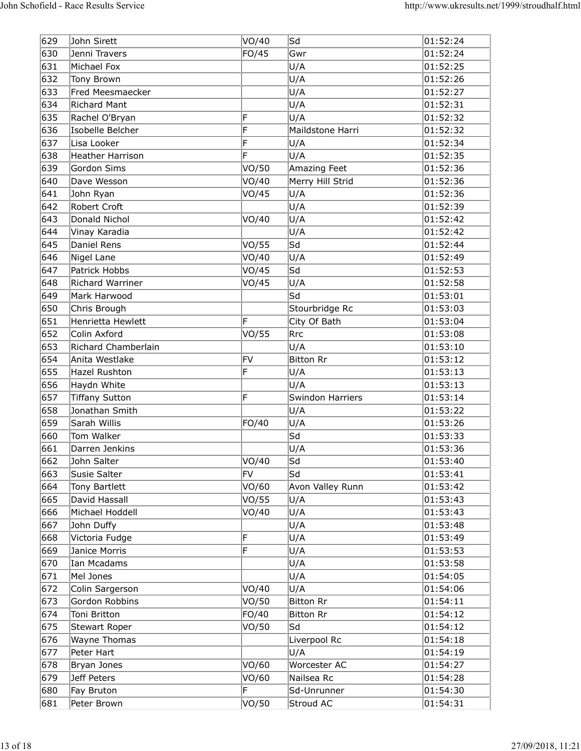|            | John Schofield - Race Results Service |                |                          | http://www.ukresults.net/1999/stroudhalf.html |
|------------|---------------------------------------|----------------|--------------------------|-----------------------------------------------|
|            |                                       |                |                          |                                               |
| 629        | John Sirett                           | VO/40          | Sd                       | 01:52:24                                      |
| 630        | Jenni Travers                         | FO/45          | Gwr                      | 01:52:24                                      |
| 631<br>632 | Michael Fox<br>Tony Brown             |                | U/A<br>U/A               | 01:52:25<br>01:52:26                          |
| 633        | Fred Meesmaecker                      |                | U/A                      | 01:52:27                                      |
| 634        | Richard Mant                          |                | U/A                      | 01:52:31                                      |
| 635        | Rachel O'Bryan                        | E              | U/A                      | 01:52:32                                      |
| 636        | Isobelle Belcher                      |                | Maildstone Harri         | 01:52:32                                      |
| 637<br>638 | Lisa Looker                           | F              | U/A<br>U/A               | 01:52:34<br> 01:52:35                         |
| 639        | Heather Harrison<br>Gordon Sims       | VO/50          | Amazing Feet             | 01:52:36                                      |
| 640        | Dave Wesson                           | VO/40          | Merry Hill Strid         | 01:52:36                                      |
| 641        | John Ryan                             | VO/45          | U/A                      | 01:52:36                                      |
| 642        | Robert Croft                          |                | U/A                      | 01:52:39                                      |
| 643        | Donald Nichol                         | VO/40          | U/A                      | 01:52:42                                      |
| 644        | Vinay Karadia                         |                | U/A                      | 01:52:42                                      |
| 645<br>646 | Daniel Rens<br>Nigel Lane             | VO/55<br>VO/40 | Sd<br>U/A                | 01:52:44<br>01:52:49                          |
| 647        | Patrick Hobbs                         | VO/45          | $\overline{\mathsf{Sd}}$ | 01:52:53                                      |
| 648        | Richard Warriner                      | VO/45          | U/A                      | 01:52:58                                      |
| 649        | Mark Harwood                          |                | Sd                       | 01:53:01                                      |
| 650        | Chris Brough                          |                | Stourbridge Rc           | 01:53:03                                      |
| 651        | Henrietta Hewlett                     |                | City Of Bath             | 01:53:04                                      |
| 652<br>653 | Colin Axford<br>Richard Chamberlain   | VO/55          | Rrc <br>U/A              | 01:53:08<br> 01:53:10                         |
| 654        | Anita Westlake                        | FV             | <b>Bitton Rr</b>         | 01:53:12                                      |
| 655        | Hazel Rushton                         | E              | U/A                      | 01:53:13                                      |
| 656        | Haydn White                           |                | U/A                      | 01:53:13                                      |
| 657        | Tiffany Sutton                        |                | Swindon Harriers         | 01:53:14                                      |
| 658        | Jonathan Smith                        |                | U/A                      | 01:53:22                                      |
| 659<br>660 | Sarah Willis                          | FO/40          | U/A<br>Sd                | 01:53:26<br> 01:53:33                         |
| 661        | Tom Walker<br>Darren Jenkins          |                | U/A                      | 01:53:36                                      |
| 662        | John Salter                           | VO/40          | Sd                       | 01:53:40                                      |
| 663        | Susie Salter                          | FV             | $\overline{\mathsf{Sd}}$ | 01:53:41                                      |
| 664        | Tony Bartlett                         | VO/60          | Avon Valley Runn         | 01:53:42                                      |
| 665        | David Hassall                         | VO/55          | U/A                      | 01:53:43                                      |
| 666        | Michael Hoddell                       | VO/40          | U/A                      | 01:53:43                                      |
| 667        | John Duffy                            |                | U/A                      | 01:53:48                                      |
| 668<br>669 | Victoria Fudge<br>Janice Morris       | Е              | U/A<br>U/A               | 01:53:49<br> 01:53:53                         |
| 670        | Ian Mcadams                           |                | U/A                      | 01:53:58                                      |
| 671        | Mel Jones                             |                | U/A                      | 01:54:05                                      |
| 672        | Colin Sargerson                       | VO/40          | U/A                      | 01:54:06                                      |
| 673        | Gordon Robbins                        | VO/50          | <b>Bitton Rr</b>         | 01:54:11                                      |
| 674        | Toni Britton                          | FO/40          | <b>Bitton Rr</b><br>Sd.  | $\sqrt{01:54:12}$                             |
| 675<br>676 | Stewart Roper<br>Wayne Thomas         | VO/50          | Liverpool Rc             | 01:54:12<br> 01:54:18                         |
| 677        | Peter Hart                            |                | U/A                      | 01:54:19                                      |
| 678        | Bryan Jones                           | VO/60          | Worcester AC             | 01:54:27                                      |
|            | Jeff Peters                           | VO/60          | Nailsea Rc               | 01:54:28                                      |
| 679<br>680 | Fay Bruton                            |                | Sd-Unrunner              | 01:54:30                                      |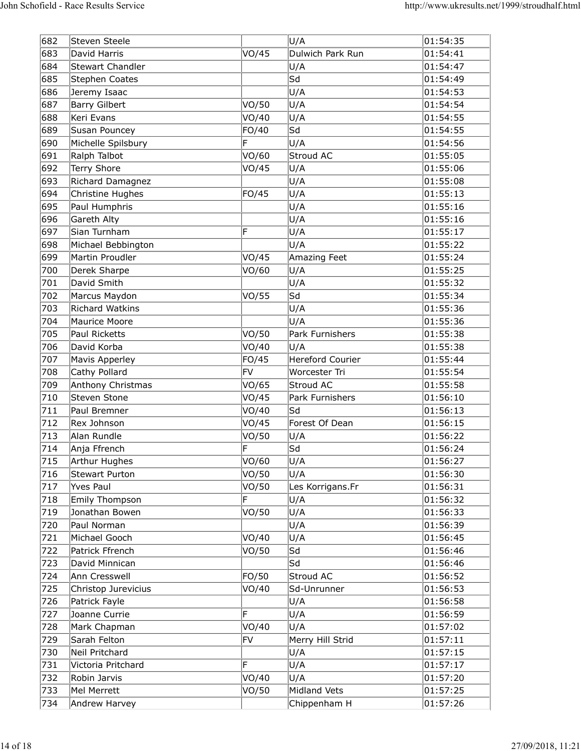|            | John Schofield - Race Results Service |                |                                 | http://www.ukresults.net/1999/stroudhalf.html |
|------------|---------------------------------------|----------------|---------------------------------|-----------------------------------------------|
|            |                                       |                |                                 |                                               |
| 682        | Steven Steele                         |                | U/A                             | 01:54:35                                      |
| 683        | David Harris                          | VO/45          | Dulwich Park Run                | $\sqrt{01:54:41}$                             |
| 684        | Stewart Chandler                      |                | U/A                             | 01:54:47                                      |
| 685<br>686 | Stephen Coates<br>Jeremy Isaac        |                | Sd <br>U/A                      | 01:54:49<br> 01:54:53                         |
| 687        | Barry Gilbert                         | VO/50          | U/A                             | 01:54:54                                      |
| 688        | Keri Evans                            | VO/40          | U/A                             | 01:54:55                                      |
| 689        | Susan Pouncey                         | FO/40          | Sd.                             | 01:54:55                                      |
| 690        | Michelle Spilsbury                    |                | U/A<br>Stroud AC                | 01:54:56                                      |
| 691<br>692 | Ralph Talbot<br>Terry Shore           | VO/60<br>VO/45 | U/A                             | 01:55:05<br> 01:55:06                         |
| 693        | Richard Damagnez                      |                | U/A                             | 01:55:08                                      |
| 694        | Christine Hughes                      | FO/45          | U/A                             | 01:55:13                                      |
| 695        | Paul Humphris                         |                | U/A                             | 01:55:16                                      |
| 696<br>697 | Gareth Alty<br>Sian Turnham           |                | U/A<br>U/A                      | 01:55:16<br> 01:55:17                         |
| 698        | Michael Bebbington                    |                | U/A                             | 01:55:22                                      |
| 699        | Martin Proudler                       | VO/45          | Amazing Feet                    | 01:55:24                                      |
| 700        | Derek Sharpe                          | VO/60          | U/A                             | 01:55:25                                      |
| 701        | David Smith                           |                | U/A                             | 01:55:32                                      |
| 702<br>703 | Marcus Maydon<br>Richard Watkins      | VO/55          | Sd<br>U/A                       | 01:55:34<br> 01:55:36                         |
| 704        | Maurice Moore                         |                | U/A                             | 01:55:36                                      |
| 705        | Paul Ricketts                         | VO/50          | Park Furnishers                 | 01:55:38                                      |
| 706        | David Korba                           | VO/40          | U/A                             | 01:55:38                                      |
| 707<br>708 | Mavis Apperley                        | FO/45<br>FV    | Hereford Courier                | 01:55:44 <br> 01:55:54                        |
| 709        | Cathy Pollard<br>Anthony Christmas    | VO/65          | Worcester Tri<br>Stroud AC      | 01:55:58                                      |
| 710        | Steven Stone                          | VO/45          | Park Furnishers                 | 01:56:10                                      |
| 711        | Paul Bremner                          | VO/40          | Sd.                             | 01:56:13                                      |
| 712        | Rex Johnson                           | VO/45          | Forest Of Dean                  | 01:56:15                                      |
| 713<br>714 | Alan Rundle<br>Anja Ffrench           | VO/50          | U/A<br>$\overline{\mathsf{Sd}}$ | 01:56:22<br> 01:56:24                         |
| 715        | Arthur Hughes                         | VO/60          | U/A                             | 01:56:27                                      |
| 716        | Stewart Purton                        | VO/50          | U/A                             | 01:56:30                                      |
| 717        | Yves Paul                             | VO/50          | Les Korrigans.Fr                | 01:56:31                                      |
| 718        | Emily Thompson                        |                | U/A                             | 01:56:32                                      |
| 719        | Jonathan Bowen                        | VO/50          | U/A                             | 01:56:33                                      |
| 720<br>721 | Paul Norman<br>Michael Gooch          | VO/40          | U/A<br>U/A                      | 01:56:39<br> 01:56:45                         |
| 722        | Patrick Ffrench                       | VO/50          | $\overline{\mathsf{Sd}}$        | 01:56:46                                      |
| 723        | David Minnican                        |                | Sd                              | 01:56:46                                      |
| 724        | Ann Cresswell                         | FO/50          | Stroud AC                       | 01:56:52                                      |
| 725        | Christop Jurevicius                   | VO/40          | Sd-Unrunner                     | 01:56:53                                      |
| 726<br>727 | Patrick Fayle                         |                | U/A<br>U/A                      | 01:56:58<br>01:56:59                          |
| 728        | Joanne Currie<br>Mark Chapman         | IF<br>VO/40    | U/A                             | 01:57:02                                      |
| 729        | Sarah Felton                          | FV             | Merry Hill Strid                | 01:57:11                                      |
| 730        | Neil Pritchard                        |                | U/A                             | 01:57:15                                      |
| 731        | Victoria Pritchard                    |                | U/A                             | 01:57:17                                      |
| 732        | Robin Jarvis                          | VO/40          | U/A                             | 01:57:20                                      |
| 733        | Mel Merrett                           | VO/50          | Midland Vets                    | 01:57:25                                      |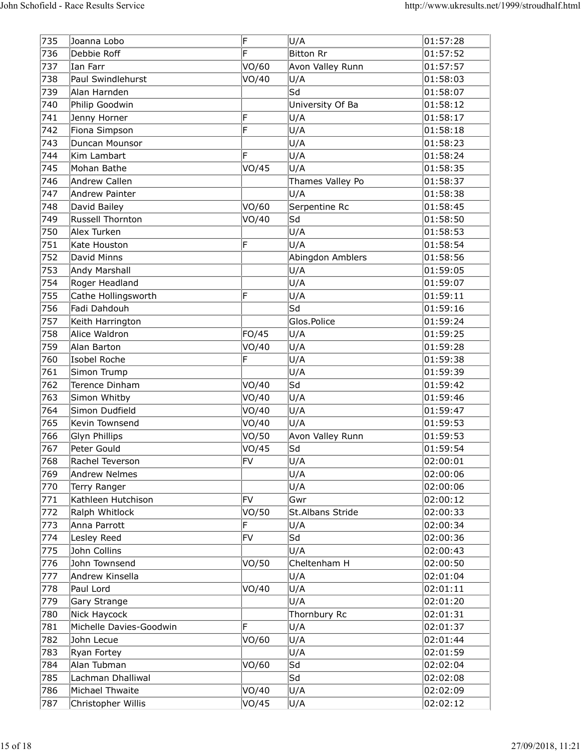| 735        | Joanna Lobo                      | ΙF             | U/A                      | 01:57:28              |
|------------|----------------------------------|----------------|--------------------------|-----------------------|
| 736        | Debbie Roff                      | E              | <b>Bitton Rr</b>         | 01:57:52              |
| 737<br>738 | Ian Farr<br>Paul Swindlehurst    | VO/60<br>VO/40 | Avon Valley Runn<br>U/A  | 01:57:57<br> 01:58:03 |
| 739        | Alan Harnden                     |                | lsd                      | 01:58:07              |
| 740        | Philip Goodwin                   |                | University Of Ba         | 01:58:12              |
| 741        | Jenny Horner                     | F              | U/A                      | 01:58:17              |
| 742        | Fiona Simpson                    |                | U/A                      | 01:58:18              |
| 743        | Duncan Mounsor                   |                | U/A                      | 01:58:23              |
| 744<br>745 | Kim Lambart<br>Mohan Bathe       | VO/45          | U/A<br>U/A               | 01:58:24<br> 01:58:35 |
| 746        | Andrew Callen                    |                | Thames Valley Po         | 01:58:37              |
| 747        | Andrew Painter                   |                | U/A                      | 01:58:38              |
| 748        | David Bailey                     | VO/60          | Serpentine Rc            | 01:58:45              |
| 749        | Russell Thornton                 | VO/40          | Sd                       | 01:58:50              |
| 750        | Alex Turken                      |                | U/A                      | 01:58:53              |
| 751<br>752 | Kate Houston<br>David Minns      | F              | U/A<br>Abingdon Amblers  | 01:58:54<br> 01:58:56 |
| 753        | Andy Marshall                    |                | U/A                      | 01:59:05              |
| 754        | Roger Headland                   |                | U/A                      | 01:59:07              |
| 755        | Cathe Hollingsworth              |                | U/A                      | 01:59:11              |
| 756        | Fadi Dahdouh                     |                | Sd                       | 01:59:16              |
| 757        | Keith Harrington                 |                | Glos.Police              | 01:59:24              |
| 758        | Alice Waldron                    | FO/45          | U/A                      | 01:59:25              |
| 759<br>760 | Alan Barton<br>Isobel Roche      | VO/40          | U/A<br>U/A               | 01:59:28<br> 01:59:38 |
| 761        | Simon Trump                      |                | U/A                      | 01:59:39              |
| 762        | Terence Dinham                   | VO/40          | $\overline{\mathsf{Sd}}$ | 01:59:42              |
| 763        | Simon Whitby                     | VO/40          | U/A                      | 01:59:46              |
| 764        | Simon Dudfield                   | VO/40          | U/A                      | 01:59:47              |
| 765        | Kevin Townsend                   | VO/40          | U/A                      | 01:59:53              |
| 766        | Glyn Phillips                    | VO/50          | Avon Valley Runn         | 01:59:53              |
| 767<br>768 | Peter Gould<br>Rachel Teverson   | VO/45<br>FV    | Sd                       | 01:59:54 <br>02:00:01 |
| 769        | Andrew Nelmes                    |                | U/A<br>U/A               | 02:00:06              |
| 770        | Terry Ranger                     |                | U/A                      | 02:00:06              |
| 771        | Kathleen Hutchison               | FV             | Gwr                      | 02:00:12              |
| 772        | Ralph Whitlock                   | VO/50          | St.Albans Stride         | 02:00:33              |
| 773        | Anna Parrott                     |                | U/A                      | 02:00:34              |
| 774        | Lesley Reed                      | FV             | $\overline{\mathsf{Sd}}$ | 02:00:36              |
| 775<br>776 | John Collins<br>John Townsend    | VO/50          | U/A<br>Cheltenham H      | 02:00:43<br>02:00:50  |
| 777        | Andrew Kinsella                  |                | U/A                      | 02:01:04              |
| 778        | Paul Lord                        | VO/40          | U/A                      | 02:01:11              |
| 779        | Gary Strange                     |                | U/A                      | 02:01:20              |
| 780        | Nick Haycock                     |                | Thornbury Rc             | 02:01:31              |
| 781        | Michelle Davies-Goodwin          | lF.            | U/A                      | 02:01:37              |
| 782        | John Lecue                       | VO/60          | U/A                      | 02:01:44              |
| 783        | Ryan Fortey                      |                | U/A<br>Sd                | 02:01:59              |
| 784<br>785 | Alan Tubman<br>Lachman Dhalliwal | VO/60          | $\overline{\mathsf{Sd}}$ | 02:02:04<br>02:02:08  |
| 786        | Michael Thwaite                  | VO/40          | U/A                      | 02:02:09              |
|            | Christopher Willis               | VO/45          |                          |                       |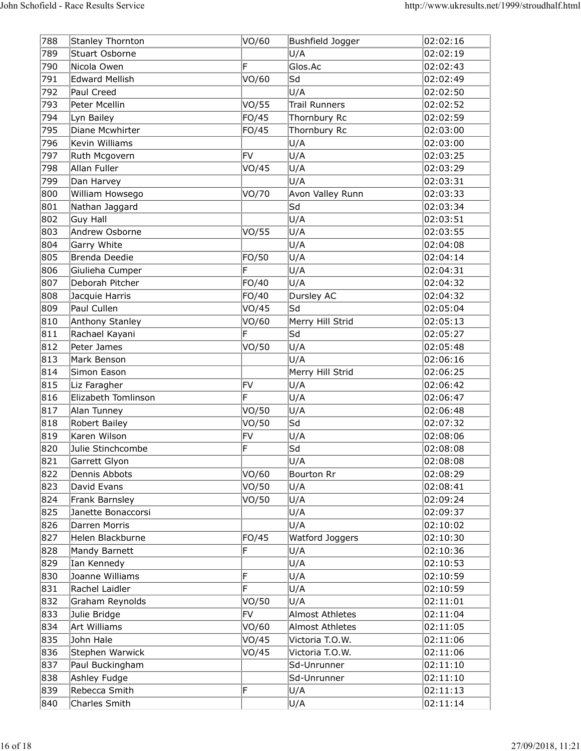|            | John Schofield - Race Results Service |                |                                    | http://www.ukresults.net/1999/stroudhalf.html |
|------------|---------------------------------------|----------------|------------------------------------|-----------------------------------------------|
|            |                                       |                |                                    |                                               |
| 788        | Stanley Thornton                      | VO/60          | Bushfield Jogger                   | 02:02:16                                      |
| 789        | Stuart Osborne                        |                | U/A                                | 02:02:19                                      |
| 790<br>791 | Nicola Owen<br>Edward Mellish         | VO/60          | Glos.Ac<br>Sd.                     | 02:02:43<br>02:02:49                          |
| 792        | Paul Creed                            |                | U/A                                | 02:02:50                                      |
| 793        | Peter Mcellin                         | VO/55          | Trail Runners                      | 02:02:52                                      |
| 794        | Lyn Bailey                            | FO/45          | Thornbury Rc                       | 02:02:59                                      |
| 795<br>796 | Diane Mcwhirter<br>Kevin Williams     | FO/45          | Thornbury Rc<br>U/A                | 02:03:00<br>02:03:00                          |
| 797        | Ruth Mcgovern                         | FV             | U/A                                | 02:03:25                                      |
| 798        | Allan Fuller                          | VO/45          | U/A                                | 02:03:29                                      |
| 799        | Dan Harvey                            |                | U/A                                | 02:03:31                                      |
| 800<br>801 | William Howsego                       | VO/70          | Avon Valley Runn<br>Sd             | 02:03:33<br>02:03:34                          |
| 802        | Nathan Jaggard<br>Guy Hall            |                | U/A                                | 02:03:51                                      |
| 803        | Andrew Osborne                        | VO/55          | U/A                                | 02:03:55                                      |
| 804        | Garry White                           |                | U/A                                | 02:04:08                                      |
| 805        | Brenda Deedie                         | FO/50          | U/A                                | 02:04:14                                      |
| 806<br>807 | Giulieha Cumper<br>Deborah Pitcher    | FO/40          | U/A<br>U/A                         | 02:04:31<br>02:04:32                          |
| 808        | Jacquie Harris                        | FO/40          | Dursley AC                         | 02:04:32                                      |
| 809        | Paul Cullen                           | VO/45          | Sd                                 | 02:05:04                                      |
| 810        | Anthony Stanley                       | VO/60          | Merry Hill Strid                   | 02:05:13                                      |
| 811        | Rachael Kayani                        |                | Sd                                 | 02:05:27                                      |
| 812<br>813 | Peter James<br>Mark Benson            | VO/50          | U/A<br>U/A                         | 02:05:48<br>02:06:16                          |
| 814        | Simon Eason                           |                | Merry Hill Strid                   | 02:06:25                                      |
| 815        | Liz Faragher                          | FV             | U/A                                | 02:06:42                                      |
| 816        | Elizabeth Tomlinson                   |                | U/A                                | 02:06:47                                      |
| 817<br>818 | Alan Tunney<br>Robert Bailey          | VO/50<br>VO/50 | U/A<br>Sd                          | 02:06:48<br>02:07:32                          |
| 819        | Karen Wilson                          | <b>FV</b>      | U/A                                | 02:08:06                                      |
| 820        | Julie Stinchcombe                     |                | Sd                                 | 02:08:08                                      |
| 821        | Garrett Glyon                         |                | U/A                                | 02:08:08                                      |
| 822        | Dennis Abbots                         | VO/60          | Bourton Rr                         | 02:08:29                                      |
| 823<br>824 | David Evans<br>Frank Barnsley         | VO/50<br>VO/50 | U/A<br>U/A                         | 02:08:41<br>02:09:24                          |
| 825        | Janette Bonaccorsi                    |                | U/A                                | 02:09:37                                      |
| 826        | Darren Morris                         |                | U/A                                | 02:10:02                                      |
| 827        | Helen Blackburne                      | FO/45          | Watford Joggers                    | 02:10:30                                      |
| 828<br>829 | Mandy Barnett<br>Ian Kennedy          |                | U/A<br>U/A                         | 02:10:36<br>02:10:53                          |
| 830        | Joanne Williams                       | F              | U/A                                | 02:10:59                                      |
| 831        | Rachel Laidler                        |                | U/A                                | 02:10:59                                      |
| 832        | Graham Reynolds                       | VO/50          | U/A                                | 02:11:01                                      |
| 833        | Julie Bridge                          | FV             | Almost Athletes                    | 02:11:04                                      |
| 834<br>835 | Art Williams<br>John Hale             | VO/60<br>VO/45 | Almost Athletes<br>Victoria T.O.W. | 02:11:05<br>02:11:06                          |
| 836        | Stephen Warwick                       | VO/45          | Victoria T.O.W.                    | 02:11:06                                      |
| 837        | Paul Buckingham                       |                | Sd-Unrunner                        | 02:11:10                                      |
| 838        | Ashley Fudge                          |                | Sd-Unrunner                        | 02:11:10                                      |
| 839        | Rebecca Smith                         | F              | U/A                                | 02:11:13                                      |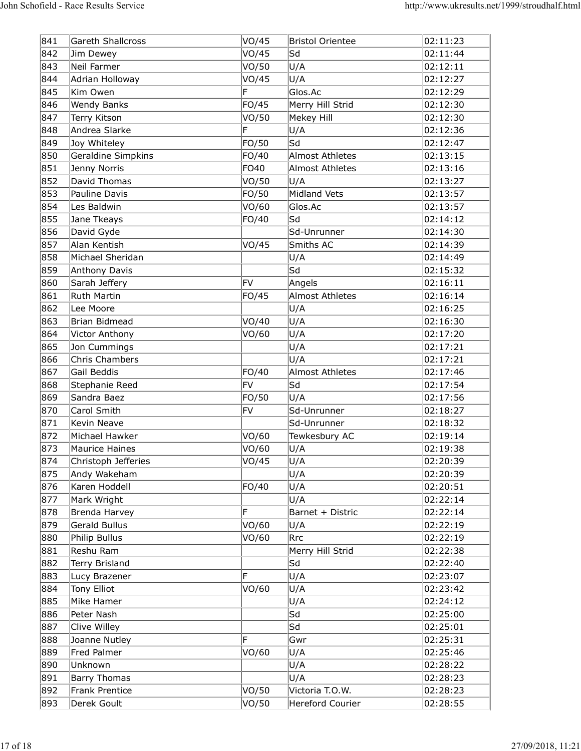| 841        | Gareth Shallcross                  | VO/45            | <b>Bristol Orientee</b>  | 02:11:23             |
|------------|------------------------------------|------------------|--------------------------|----------------------|
| 842<br>843 | Jim Dewey<br>Neil Farmer           | VO/45<br>VO/50   | Sd<br>U/A                | 02:11:44<br>02:12:11 |
| 844        | Adrian Holloway                    | VO/45            | U/A                      | 02:12:27             |
| 845        | Kim Owen                           |                  | Glos.Ac                  | 02:12:29             |
| 846        | <b>Wendy Banks</b>                 | FO/45            | Merry Hill Strid         | 02:12:30             |
| 847        | Terry Kitson                       | VO/50            | Mekey Hill               | 02:12:30             |
| 848        | Andrea Slarke                      |                  | U/A<br>Sd                | 02:12:36             |
| 849<br>850 | Joy Whiteley<br>Geraldine Simpkins | FO/50<br>FO/40   | Almost Athletes          | 02:12:47<br>02:13:15 |
| 851        | Jenny Norris                       | FO <sub>40</sub> | Almost Athletes          | 02:13:16             |
| 852        | David Thomas                       | VO/50            | U/A                      | 02:13:27             |
| 853        | Pauline Davis                      | FO/50            | Midland Vets             | 02:13:57             |
| 854        | Les Baldwin                        | VO/60            | Glos.Ac                  | 02:13:57             |
| 855        | Jane Tkeays                        | FO/40            | Sd.                      | 02:14:12             |
| 856        | David Gyde                         |                  | Sd-Unrunner              | 02:14:30             |
| 857<br>858 | Alan Kentish<br>Michael Sheridan   | VO/45            | Smiths AC<br>U/A         | 02:14:39<br>02:14:49 |
| 859        | Anthony Davis                      |                  | $\overline{\mathsf{Sd}}$ | 02:15:32             |
| 860        | Sarah Jeffery                      | FV               | Angels                   | 02:16:11             |
| 861        | Ruth Martin                        | FO/45            | Almost Athletes          | 02:16:14             |
| 862        | Lee Moore                          |                  | U/A                      | 02:16:25             |
| 863        | Brian Bidmead                      | VO/40            | U/A                      | 02:16:30             |
| 864<br>865 | Victor Anthony<br>Jon Cummings     | VO/60            | U/A<br>U/A               | 02:17:20<br>02:17:21 |
| 866        | Chris Chambers                     |                  | U/A                      | 02:17:21             |
| 867        | Gail Beddis                        | FO/40            | Almost Athletes          | 02:17:46             |
| 868        | Stephanie Reed                     | FV               | Sd                       | 02:17:54             |
| 869        | Sandra Baez                        | FO/50            | U/A                      | 02:17:56             |
| 870        | Carol Smith                        | FV               | Sd-Unrunner              | 02:18:27             |
| 871        | Kevin Neave                        |                  | Sd-Unrunner              | 02:18:32             |
| 872<br>873 | Michael Hawker<br>Maurice Haines   | VO/60<br>VO/60   | Tewkesbury AC<br>U/A     | 02:19:14<br>02:19:38 |
| 874        | Christoph Jefferies                | VO/45            | U/A                      | 02:20:39             |
| 875        | Andy Wakeham                       |                  | U/A                      | 02:20:39             |
| 876        | Karen Hoddell                      | FO/40            | U/A                      | 02:20:51             |
| 877        | Mark Wright                        |                  | U/A                      | 02:22:14             |
| 878        | Brenda Harvey                      |                  | Barnet + Distric         | 02:22:14             |
| 879        | Gerald Bullus                      | VO/60            | U/A                      | 02:22:19             |
| 880<br>881 | Philip Bullus<br>Reshu Ram         | VO/60            | Rrc<br>Merry Hill Strid  | 02:22:19<br>02:22:38 |
| 882        | <b>Terry Brisland</b>              |                  | Sd                       | 02:22:40             |
| 883        | Lucy Brazener                      | F                | U/A                      | 02:23:07             |
| 884        | Tony Elliot                        | VO/60            | U/A                      | 02:23:42             |
| 885        | Mike Hamer                         |                  | U/A                      | 02:24:12             |
| 886        | Peter Nash                         |                  | $\overline{\mathsf{Sd}}$ | 02:25:00             |
| 887        | Clive Willey                       | E                | $\overline{\mathsf{Sd}}$ | 02:25:01             |
| 888<br>889 | Joanne Nutley<br>Fred Palmer       | VO/60            | Gwr<br>U/A               | 02:25:31<br>02:25:46 |
| 890        | Unknown                            |                  | U/A                      | 02:28:22             |
| 891        | Barry Thomas                       |                  | U/A                      | 02:28:23             |
| 892        | Frank Prentice                     | VO/50            | Victoria T.O.W.          | 02:28:23             |
|            | Derek Goult                        |                  |                          |                      |